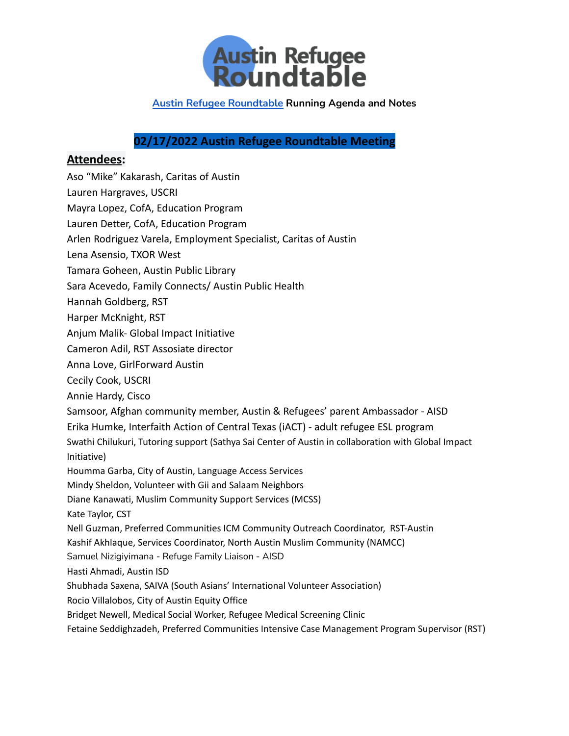

## **02/17/2022 Austin Refugee Roundtable Meeting**

## **Attendees:**

Aso "Mike" Kakarash, Caritas of Austin Lauren Hargraves, USCRI Mayra Lopez, CofA, Education Program Lauren Detter, CofA, Education Program Arlen Rodriguez Varela, Employment Specialist, Caritas of Austin Lena Asensio, TXOR West Tamara Goheen, Austin Public Library Sara Acevedo, Family Connects/ Austin Public Health Hannah Goldberg, RST Harper McKnight, RST Anjum Malik- Global Impact Initiative Cameron Adil, RST Assosiate director Anna Love, GirlForward Austin Cecily Cook, USCRI Annie Hardy, Cisco Samsoor, Afghan community member, Austin & Refugees' parent Ambassador - AISD Erika Humke, Interfaith Action of Central Texas (iACT) - adult refugee ESL program Swathi Chilukuri, Tutoring support (Sathya Sai Center of Austin in collaboration with Global Impact Initiative) Houmma Garba, City of Austin, Language Access Services Mindy Sheldon, Volunteer with Gii and Salaam Neighbors Diane Kanawati, Muslim Community Support Services (MCSS) Kate Taylor, CST Nell Guzman, Preferred Communities ICM Community Outreach Coordinator, RST-Austin Kashif Akhlaque, Services Coordinator, North Austin Muslim Community (NAMCC) Samuel Nizigiyimana - Refuge Family Liaison - AISD Hasti Ahmadi, Austin ISD Shubhada Saxena, SAIVA (South Asians' International Volunteer Association) Rocio Villalobos, City of Austin Equity Office Bridget Newell, Medical Social Worker, Refugee Medical Screening Clinic Fetaine Seddighzadeh, Preferred Communities Intensive Case Management Program Supervisor (RST)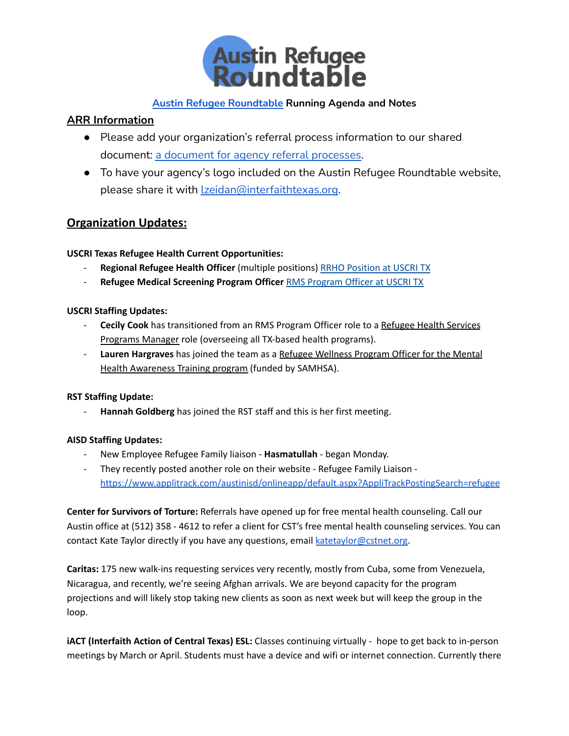

## **ARR Information**

- Please add your organization's referral process information to our shared document: a document for agency referral [processes.](https://docs.google.com/document/d/1-zMxEy6kL1VumI4MApGIKO8DDkIPkVLsQOSeHuvbHjY/edit?usp=sharing)
- To have your agency's logo included on the Austin Refugee Roundtable website, please share it with **Lzeidan@interfaithtexas.org**.

## **Organization Updates:**

### **USCRI Texas Refugee Health Current Opportunities:**

- **Regional Refugee Health Officer** (multiple positions) RRHO [Position](https://workforcenow.adp.com/mascsr/default/mdf/recruitment/recruitment.html?cid=95b1fb83-92bd-4515-841c-8cadfdb3dc44&jobId=429665&lang=en_US&source=CC4) at USCRI TX
- **Refugee Medical Screening Program Officer** RMS [Program](https://workforcenow.adp.com/mascsr/default/mdf/recruitment/recruitment.html?cid=95b1fb83-92bd-4515-841c-8cadfdb3dc44&jobId=434557&lang=en_US&source=CC4) Officer at USCRI TX

### **USCRI Staffing Updates:**

- **Cecily Cook** has transitioned from an RMS Program Officer role to a Refugee Health Services Programs Manager role (overseeing all TX-based health programs).
- **Lauren Hargraves** has joined the team as a Refugee Wellness Program Officer for the Mental Health Awareness Training program (funded by SAMHSA).

### **RST Staffing Update:**

**Hannah Goldberg** has joined the RST staff and this is her first meeting.

## **AISD Staffing Updates:**

- New Employee Refugee Family liaison **Hasmatullah** began Monday.
- They recently posted another role on their website Refugee Family Liaison <https://www.applitrack.com/austinisd/onlineapp/default.aspx?AppliTrackPostingSearch=refugee>

**Center for Survivors of Torture:** Referrals have opened up for free mental health counseling. Call our Austin office at (512) 358 - 4612 to refer a client for CST's free mental health counseling services. You can contact Kate Taylor directly if you have any questions, email [katetaylor@cstnet.org.](mailto:katetaylor@cstnet.org)

**Caritas:** 175 new walk-ins requesting services very recently, mostly from Cuba, some from Venezuela, Nicaragua, and recently, we're seeing Afghan arrivals. We are beyond capacity for the program projections and will likely stop taking new clients as soon as next week but will keep the group in the loop.

**iACT (Interfaith Action of Central Texas) ESL:** Classes continuing virtually - hope to get back to in-person meetings by March or April. Students must have a device and wifi or internet connection. Currently there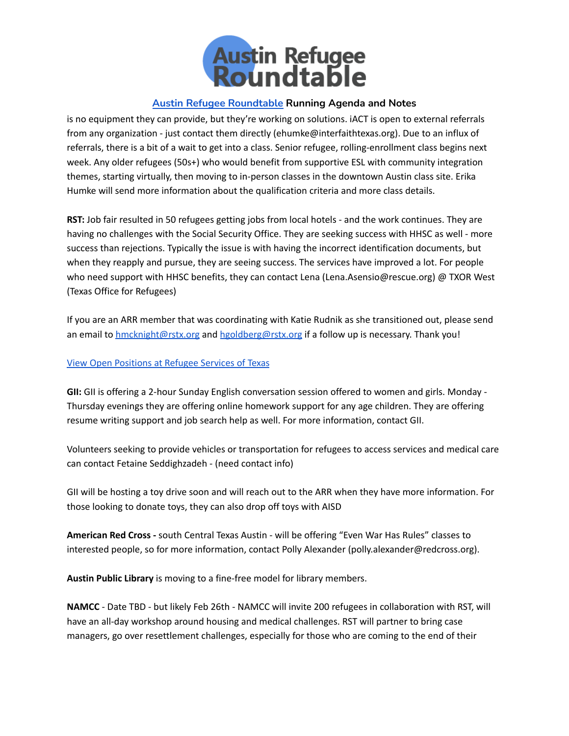

is no equipment they can provide, but they're working on solutions. iACT is open to external referrals from any organization - just contact them directly (ehumke@interfaithtexas.org). Due to an influx of referrals, there is a bit of a wait to get into a class. Senior refugee, rolling-enrollment class begins next week. Any older refugees (50s+) who would benefit from supportive ESL with community integration themes, starting virtually, then moving to in-person classes in the downtown Austin class site. Erika Humke will send more information about the qualification criteria and more class details.

**RST:** Job fair resulted in 50 refugees getting jobs from local hotels - and the work continues. They are having no challenges with the Social Security Office. They are seeking success with HHSC as well - more success than rejections. Typically the issue is with having the incorrect identification documents, but when they reapply and pursue, they are seeing success. The services have improved a lot. For people who need support with HHSC benefits, they can contact Lena (Lena.Asensio@rescue.org) @ TXOR West (Texas Office for Refugees)

If you are an ARR member that was coordinating with Katie Rudnik as she transitioned out, please send an email to [hmcknight@rstx.org](mailto:hmcknight@rstx.org) and [hgoldberg@rstx.org](mailto:hgoldberg@rstx.org) if a follow up is necessary. Thank you!

#### View Open [Positions](https://www.paycomonline.net/v4/ats/web.php/jobs?clientkey=4B8A1928E9A68D3F835F138AAD26EF38&jpt=#) at Refugee Services of Texas

**GII:** GII is offering a 2-hour Sunday English conversation session offered to women and girls. Monday - Thursday evenings they are offering online homework support for any age children. They are offering resume writing support and job search help as well. For more information, contact GII.

Volunteers seeking to provide vehicles or transportation for refugees to access services and medical care can contact Fetaine Seddighzadeh - (need contact info)

GII will be hosting a toy drive soon and will reach out to the ARR when they have more information. For those looking to donate toys, they can also drop off toys with AISD

**American Red Cross -** south Central Texas Austin - will be offering "Even War Has Rules" classes to interested people, so for more information, contact Polly Alexander (polly.alexander@redcross.org).

**Austin Public Library** is moving to a fine-free model for library members.

**NAMCC** - Date TBD - but likely Feb 26th - NAMCC will invite 200 refugees in collaboration with RST, will have an all-day workshop around housing and medical challenges. RST will partner to bring case managers, go over resettlement challenges, especially for those who are coming to the end of their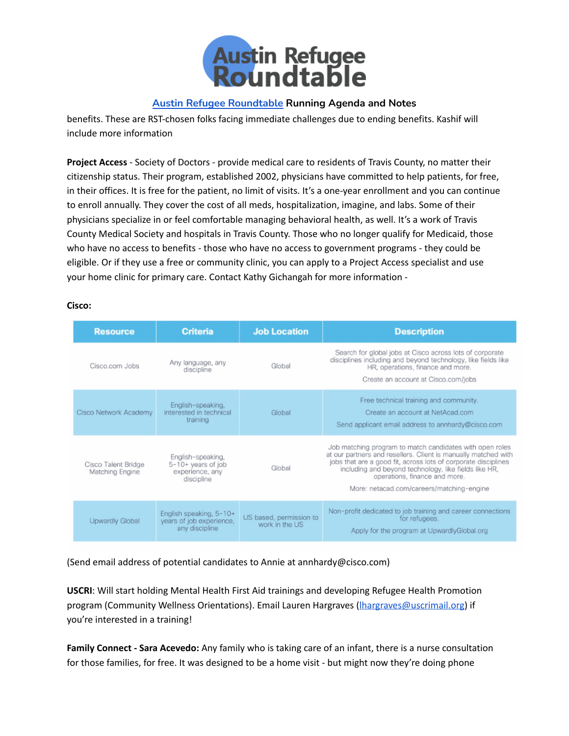

benefits. These are RST-chosen folks facing immediate challenges due to ending benefits. Kashif will include more information

**Project Access** - Society of Doctors - provide medical care to residents of Travis County, no matter their citizenship status. Their program, established 2002, physicians have committed to help patients, for free, in their offices. It is free for the patient, no limit of visits. It's a one-year enrollment and you can continue to enroll annually. They cover the cost of all meds, hospitalization, imagine, and labs. Some of their physicians specialize in or feel comfortable managing behavioral health, as well. It's a work of Travis County Medical Society and hospitals in Travis County. Those who no longer qualify for Medicaid, those who have no access to benefits - those who have no access to government programs - they could be eligible. Or if they use a free or community clinic, you can apply to a Project Access specialist and use your home clinic for primary care. Contact Kathy Gichangah for more information -

#### **Cisco:**

| <b>Resource</b>                        | <b>Criteria</b>                                                          | <b>Job Location</b>                       | <b>Description</b>                                                                                                                                                                                                                                                                                                                  |
|----------------------------------------|--------------------------------------------------------------------------|-------------------------------------------|-------------------------------------------------------------------------------------------------------------------------------------------------------------------------------------------------------------------------------------------------------------------------------------------------------------------------------------|
| Cisco.com Jobs                         | Any language, any<br>discipline                                          | Global                                    | Search for global jobs at Cisco across lots of corporate<br>disciplines including and beyond technology, like fields like<br>HR, operations, finance and more.<br>Create an account at Cisco.com/jobs                                                                                                                               |
| Cisco Network Academy                  | English-speaking,<br>interested in technical<br>training                 | Global                                    | Free technical training and community.<br>Create an account at NetAcad.com<br>Send applicant email address to annhardy@cisco.com                                                                                                                                                                                                    |
| Cisco Talent Bridge<br>Matching Engine | English-speaking,<br>5-10+ years of job<br>experience, any<br>discipline | Global                                    | Job matching program to match candidates with open roles<br>at our partners and resellers. Client is manually matched with<br>jobs that are a good fit, across lots of corporate disciplines<br>including and beyond technology, like fields like HR,<br>operations, finance and more.<br>More: netacad.com/careers/matching-engine |
| Upwardly Global                        | English speaking, 5-10+<br>years of job experience,<br>any discipline    | US based, permission to<br>work in the US | Non-profit dedicated to job training and career connections<br>for refugees.<br>Apply for the program at UpwardlyGlobal.org                                                                                                                                                                                                         |

(Send email address of potential candidates to Annie at annhardy@cisco.com)

**USCRI**: Will start holding Mental Health First Aid trainings and developing Refugee Health Promotion program (Community Wellness Orientations). Email Lauren Hargraves (Ihargraves@uscrimail.org) if you're interested in a training!

**Family Connect - Sara Acevedo:** Any family who is taking care of an infant, there is a nurse consultation for those families, for free. It was designed to be a home visit - but might now they're doing phone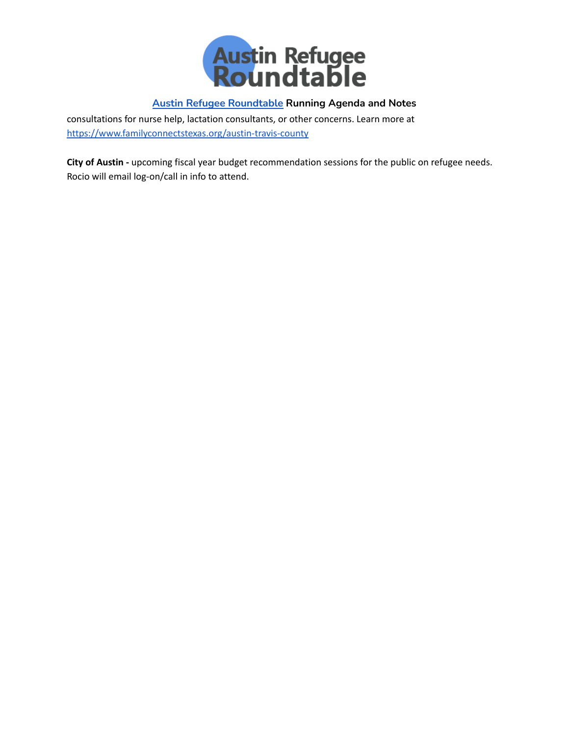

consultations for nurse help, lactation consultants, or other concerns. Learn more at <https://www.familyconnectstexas.org/austin-travis-county>

**City of Austin -** upcoming fiscal year budget recommendation sessions for the public on refugee needs. Rocio will email log-on/call in info to attend.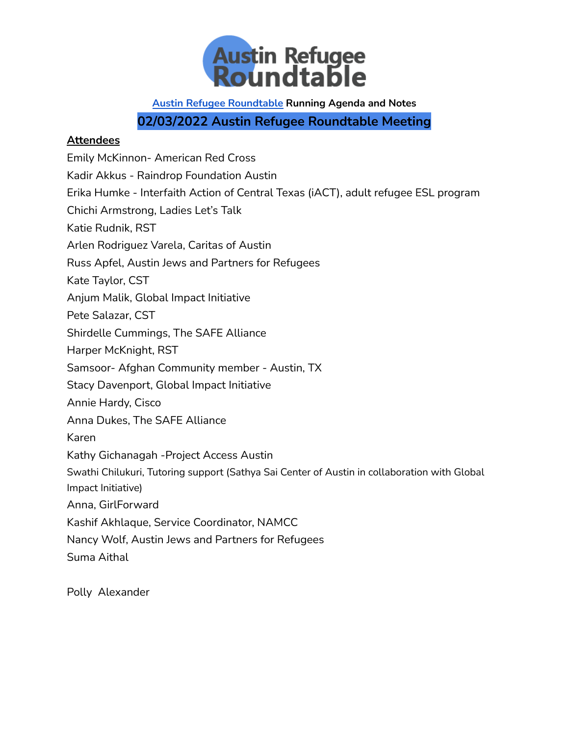

**02/03/2022 Austin Refugee Roundtable Meeting**

## **Attendees**

Emily McKinnon- American Red Cross Kadir Akkus - Raindrop Foundation Austin Erika Humke - Interfaith Action of Central Texas (iACT), adult refugee ESL program Chichi Armstrong, Ladies Let's Talk Katie Rudnik, RST Arlen Rodriguez Varela, Caritas of Austin Russ Apfel, Austin Jews and Partners for Refugees Kate Taylor, CST Anjum Malik, Global Impact Initiative Pete Salazar, CST Shirdelle Cummings, The SAFE Alliance Harper McKnight, RST Samsoor- Afghan Community member - Austin, TX Stacy Davenport, Global Impact Initiative Annie Hardy, Cisco Anna Dukes, The SAFE Alliance Karen Kathy Gichanagah -Project Access Austin Swathi Chilukuri, Tutoring support (Sathya Sai Center of Austin in collaboration with Global Impact Initiative) Anna, GirlForward Kashif Akhlaque, Service Coordinator, NAMCC Nancy Wolf, Austin Jews and Partners for Refugees Suma Aithal

Polly Alexander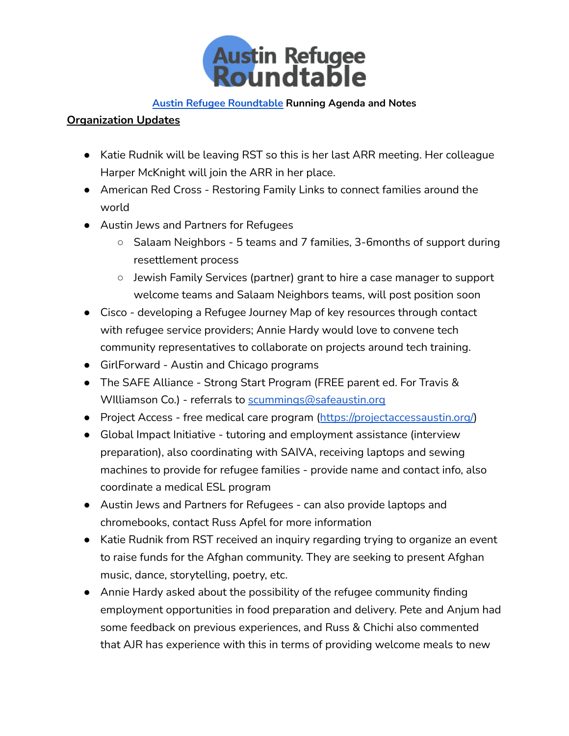

## **Organization Updates**

- Katie Rudnik will be leaving RST so this is her last ARR meeting. Her colleague Harper McKnight will join the ARR in her place.
- American Red Cross Restoring Family Links to connect families around the world
- Austin Jews and Partners for Refugees
	- Salaam Neighbors 5 teams and 7 families, 3-6months of support during resettlement process
	- Jewish Family Services (partner) grant to hire a case manager to support welcome teams and Salaam Neighbors teams, will post position soon
- Cisco developing a Refugee Journey Map of key resources through contact with refugee service providers; Annie Hardy would love to convene tech community representatives to collaborate on projects around tech training.
- GirlForward Austin and Chicago programs
- The SAFE Alliance Strong Start Program (FREE parent ed. For Travis & WIlliamson Co.) - referrals to [scummings@safeaustin.org](mailto:scummings@safeaustin.org)
- Project Access free medical care program ([https://projectaccessaustin.org/\)](https://projectaccessaustin.org/)
- Global Impact Initiative tutoring and employment assistance (interview preparation), also coordinating with SAIVA, receiving laptops and sewing machines to provide for refugee families - provide name and contact info, also coordinate a medical ESL program
- Austin Jews and Partners for Refugees can also provide laptops and chromebooks, contact Russ Apfel for more information
- Katie Rudnik from RST received an inquiry regarding trying to organize an event to raise funds for the Afghan community. They are seeking to present Afghan music, dance, storytelling, poetry, etc.
- Annie Hardy asked about the possibility of the refugee community finding employment opportunities in food preparation and delivery. Pete and Anjum had some feedback on previous experiences, and Russ & Chichi also commented that AJR has experience with this in terms of providing welcome meals to new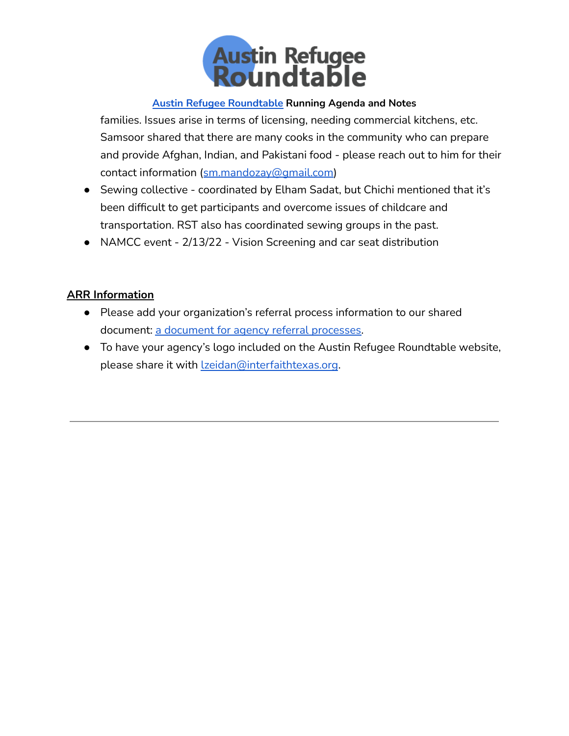

families. Issues arise in terms of licensing, needing commercial kitchens, etc. Samsoor shared that there are many cooks in the community who can prepare and provide Afghan, Indian, and Pakistani food - please reach out to him for their contact information ([sm.mandozay@gmail.com\)](mailto:sm.mandozay@gmail.com)

- Sewing collective coordinated by Elham Sadat, but Chichi mentioned that it's been difficult to get participants and overcome issues of childcare and transportation. RST also has coordinated sewing groups in the past.
- NAMCC event 2/13/22 Vision Screening and car seat distribution

## **ARR Information**

- Please add your organization's referral process information to our shared document: a document for agency referral [processes.](https://docs.google.com/document/d/1-zMxEy6kL1VumI4MApGIKO8DDkIPkVLsQOSeHuvbHjY/edit?usp=sharing)
- To have your agency's logo included on the Austin Refugee Roundtable website, please share it with *Izeidan@interfaithtexas.org*.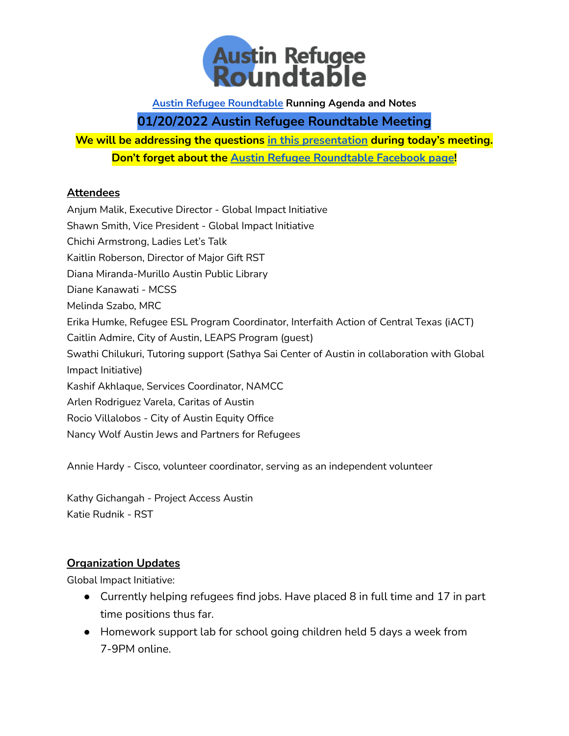

# **01/20/2022 Austin Refugee Roundtable Meeting**

**We will be addressing the questions in this [presentation](https://drive.google.com/file/d/1Y6BVFjtJI3TnU1A3IDXjN1NVxuFFb1gY/view?usp=sharing) during today's meeting. Don't forget about the Austin Refugee [Roundtable](https://www.facebook.com/AustinRefugeeRoundtable/) Facebook page!**

## **Attendees**

Anjum Malik, Executive Director - Global Impact Initiative Shawn Smith, Vice President - Global Impact Initiative Chichi Armstrong, Ladies Let's Talk Kaitlin Roberson, Director of Major Gift RST Diana Miranda-Murillo Austin Public Library Diane Kanawati - MCSS Melinda Szabo, MRC Erika Humke, Refugee ESL Program Coordinator, Interfaith Action of Central Texas (iACT) Caitlin Admire, City of Austin, LEAPS Program (guest) Swathi Chilukuri, Tutoring support (Sathya Sai Center of Austin in collaboration with Global Impact Initiative) Kashif Akhlaque, Services Coordinator, NAMCC Arlen Rodriguez Varela, Caritas of Austin Rocio Villalobos - City of Austin Equity Office Nancy Wolf Austin Jews and Partners for Refugees

Annie Hardy - Cisco, volunteer coordinator, serving as an independent volunteer

Kathy Gichangah - Project Access Austin Katie Rudnik - RST

## **Organization Updates**

Global Impact Initiative:

- Currently helping refugees find jobs. Have placed 8 in full time and 17 in part time positions thus far.
- Homework support lab for school going children held 5 days a week from 7-9PM online.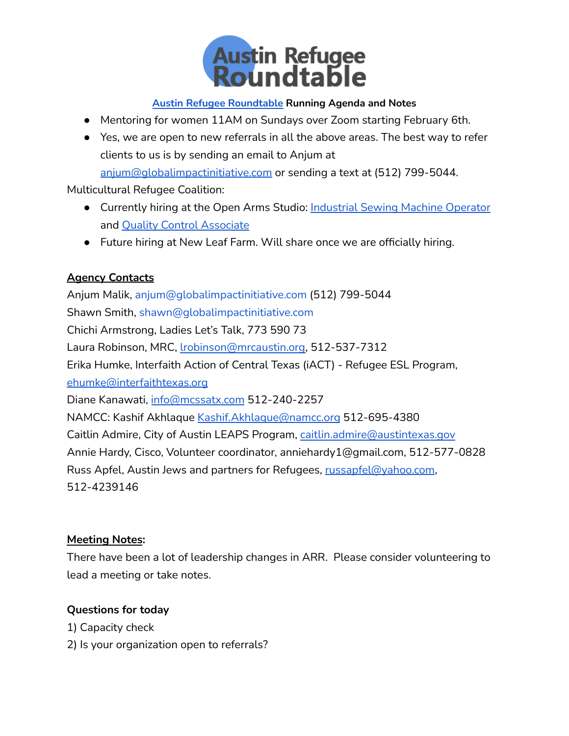

- Mentoring for women 11AM on Sundays over Zoom starting February 6th.
- Yes, we are open to new referrals in all the above areas. The best way to refer clients to us is by sending an email to Anjum at [anjum@globalimpactinitiative.com](mailto:anjum@globalimpactinitiative.com) or sending a text at (512) 799-5044.

Multicultural Refugee Coalition:

- **Currently hiring at the Open Arms Studio: [Industrial](https://static1.squarespace.com/static/606f50f92d6acd16ff3c5efb/t/60ef13936f4a0607e8227e2d/1626280851733/Industrial+Sewing+Machine+Operator+Job+Description.pdf) Sewing Machine Operator** and Quality Control [Associate](https://static1.squarespace.com/static/606f50f92d6acd16ff3c5efb/t/60edfd823e011143712b9265/1626209666652/Q_C+Associate+%281%29.pdf)
- Future hiring at New Leaf Farm. Will share once we are officially hiring.

## **Agency Contacts**

Anjum Malik, [anjum@globalimpactinitiative.com](mailto:anjum@globalimpactinitiative.com) (512) 799-5044 Shawn Smith, [shawn@globalimpactinitiative.com](mailto:shawn@globalimpactinitiative.com) Chichi Armstrong, Ladies Let's Talk, 773 590 73 Laura Robinson, MRC, [lrobinson@mrcaustin.org,](mailto:lrobinson@mrcaustin.org) 512-537-7312 Erika Humke, Interfaith Action of Central Texas (iACT) - Refugee ESL Program, [ehumke@interfaithtexas.org](mailto:ehumke@interfaithtexas.org) Diane Kanawati, [info@mcssatx.com](mailto:info@mcssatx.com) 512-240-2257 NAMCC: Kashif Akhlaque [Kashif.Akhlaque@namcc.org](mailto:Kashif.Akhlaque@namcc.org) 512-695-4380 Caitlin Admire, City of Austin LEAPS Program, [caitlin.admire@austintexas.gov](mailto:caitlin.admire@austintexas.gov) Annie Hardy, Cisco, Volunteer coordinator, anniehardy1@gmail.com, 512-577-0828 Russ Apfel, Austin Jews and partners for Refugees, [russapfel@yahoo.com](mailto:russapfel@yahoo.com), 512-4239146

## **Meeting Notes:**

There have been a lot of leadership changes in ARR. Please consider volunteering to lead a meeting or take notes.

## **Questions for today**

- 1) Capacity check
- 2) Is your organization open to referrals?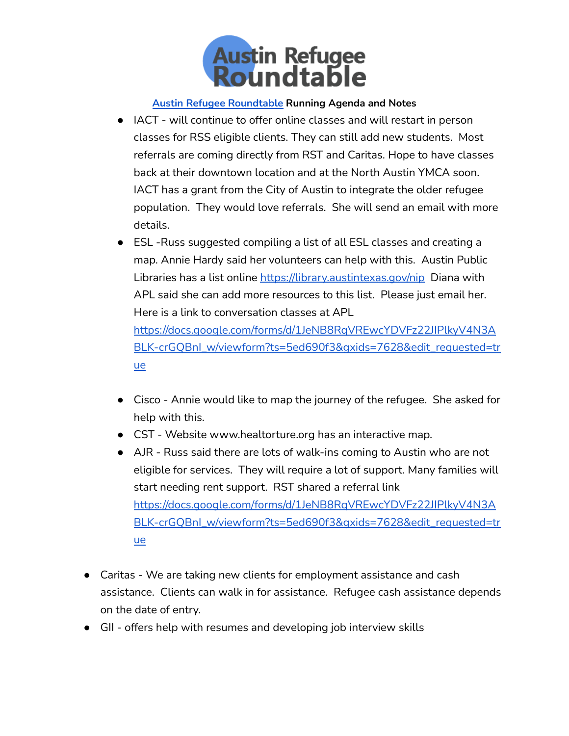

- IACT will continue to offer online classes and will restart in person classes for RSS eligible clients. They can still add new students. Most referrals are coming directly from RST and Caritas. Hope to have classes back at their downtown location and at the North Austin YMCA soon. IACT has a grant from the City of Austin to integrate the older refugee population. They would love referrals. She will send an email with more details.
- ESL -Russ suggested compiling a list of all ESL classes and creating a map. Annie Hardy said her volunteers can help with this. Austin Public Libraries has a list online <https://library.austintexas.gov/nip> Diana with APL said she can add more resources to this list. Please just email her. Here is a link to conversation classes at APL [https://docs.google.com/forms/d/1JeNB8RqVREwcYDVFz22JIPlkyV4N3A](https://docs.google.com/forms/d/1JeNB8RqVREwcYDVFz22JIPlkyV4N3ABLK-crGQBnI_w/viewform?ts=5ed690f3&gxids=7628&edit_requested=true) [BLK-crGQBnI\\_w/viewform?ts=5ed690f3&gxids=7628&edit\\_requested=tr](https://docs.google.com/forms/d/1JeNB8RqVREwcYDVFz22JIPlkyV4N3ABLK-crGQBnI_w/viewform?ts=5ed690f3&gxids=7628&edit_requested=true)

● Cisco - Annie would like to map the journey of the refugee. She asked for

[ue](https://docs.google.com/forms/d/1JeNB8RqVREwcYDVFz22JIPlkyV4N3ABLK-crGQBnI_w/viewform?ts=5ed690f3&gxids=7628&edit_requested=true)

help with this.

- CST Website www.healtorture.org has an interactive map.
- AJR Russ said there are lots of walk-ins coming to Austin who are not eligible for services. They will require a lot of support. Many families will start needing rent support. RST shared a referral link [https://docs.google.com/forms/d/1JeNB8RqVREwcYDVFz22JIPlkyV4N3A](https://docs.google.com/forms/d/1JeNB8RqVREwcYDVFz22JIPlkyV4N3ABLK-crGQBnI_w/viewform?ts=5ed690f3&gxids=7628&edit_requested=true) [BLK-crGQBnI\\_w/viewform?ts=5ed690f3&gxids=7628&edit\\_requested=tr](https://docs.google.com/forms/d/1JeNB8RqVREwcYDVFz22JIPlkyV4N3ABLK-crGQBnI_w/viewform?ts=5ed690f3&gxids=7628&edit_requested=true) [ue](https://docs.google.com/forms/d/1JeNB8RqVREwcYDVFz22JIPlkyV4N3ABLK-crGQBnI_w/viewform?ts=5ed690f3&gxids=7628&edit_requested=true)
- Caritas We are taking new clients for employment assistance and cash assistance. Clients can walk in for assistance. Refugee cash assistance depends on the date of entry.
- GII offers help with resumes and developing job interview skills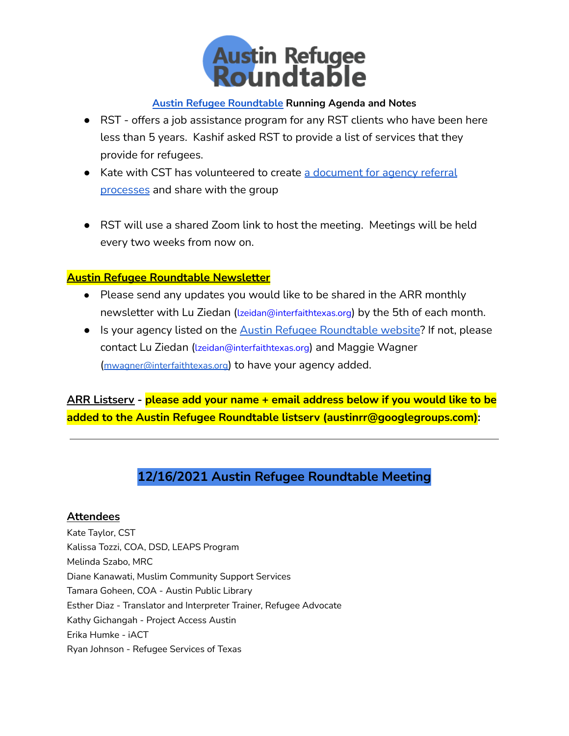

- RST offers a job assistance program for any RST clients who have been here less than 5 years. Kashif asked RST to provide a list of services that they provide for refugees.
- Kate with CST has volunteered to create a [document](https://docs.google.com/document/d/1-zMxEy6kL1VumI4MApGIKO8DDkIPkVLsQOSeHuvbHjY/edit?usp=sharing) for agency referral [processes](https://docs.google.com/document/d/1-zMxEy6kL1VumI4MApGIKO8DDkIPkVLsQOSeHuvbHjY/edit?usp=sharing) and share with the group
- RST will use a shared Zoom link to host the meeting. Meetings will be held every two weeks from now on.

## **Austin Refugee Roundtable Newsletter**

- Please send any updates you would like to be shared in the ARR monthly newsletter with Lu Ziedan ([lzeidan@interfaithtexas.org](https://email15.godaddy.com/webmail.php?auid=17610&afolder=INBOX&a=markReply#)) by the 5th of each month.
- Is your agency listed on the Austin Refugee [Roundtable](http://www.austinrefugees.com/) website? If not, please contact Lu Ziedan ([lzeidan@interfaithtexas.org](https://email15.godaddy.com/webmail.php?auid=17610&afolder=INBOX&a=markReply#)) and Maggie Wagner ([mwagner@interfaithtexas.org](mailto:mwagner@interfaithtexas.org)) to have your agency added.

**ARR Listserv - please add your name + email address below if you would like to be added to the Austin Refugee Roundtable listserv (austinrr@googlegroups.com):**

# **12/16/2021 Austin Refugee Roundtable Meeting**

## **Attendees**

Kate Taylor, CST Kalissa Tozzi, COA, DSD, LEAPS Program Melinda Szabo, MRC Diane Kanawati, Muslim Community Support Services Tamara Goheen, COA - Austin Public Library Esther Diaz - Translator and Interpreter Trainer, Refugee Advocate Kathy Gichangah - Project Access Austin Erika Humke - iACT Ryan Johnson - Refugee Services of Texas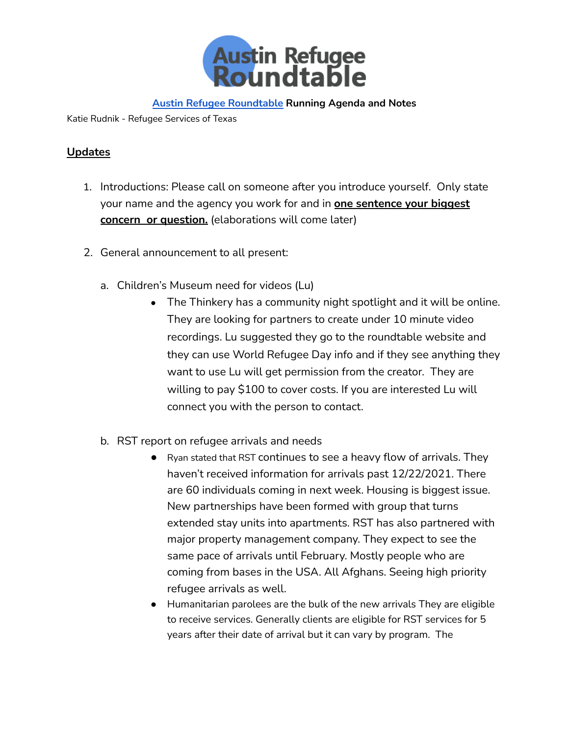

Katie Rudnik - Refugee Services of Texas

## **Updates**

- 1. Introductions: Please call on someone after you introduce yourself. Only state your name and the agency you work for and in **one sentence your biggest concern or question.** (elaborations will come later)
- 2. General announcement to all present:
	- a. Children's Museum need for videos (Lu)
		- The Thinkery has a community night spotlight and it will be online. They are looking for partners to create under 10 minute video recordings. Lu suggested they go to the roundtable website and they can use World Refugee Day info and if they see anything they want to use Lu will get permission from the creator. They are willing to pay \$100 to cover costs. If you are interested Lu will connect you with the person to contact.
	- b. RST report on refugee arrivals and needs
		- Ryan stated that RST continues to see a heavy flow of arrivals. They haven't received information for arrivals past 12/22/2021. There are 60 individuals coming in next week. Housing is biggest issue. New partnerships have been formed with group that turns extended stay units into apartments. RST has also partnered with major property management company. They expect to see the same pace of arrivals until February. Mostly people who are coming from bases in the USA. All Afghans. Seeing high priority refugee arrivals as well.
		- Humanitarian parolees are the bulk of the new arrivals They are eligible to receive services. Generally clients are eligible for RST services for 5 years after their date of arrival but it can vary by program. The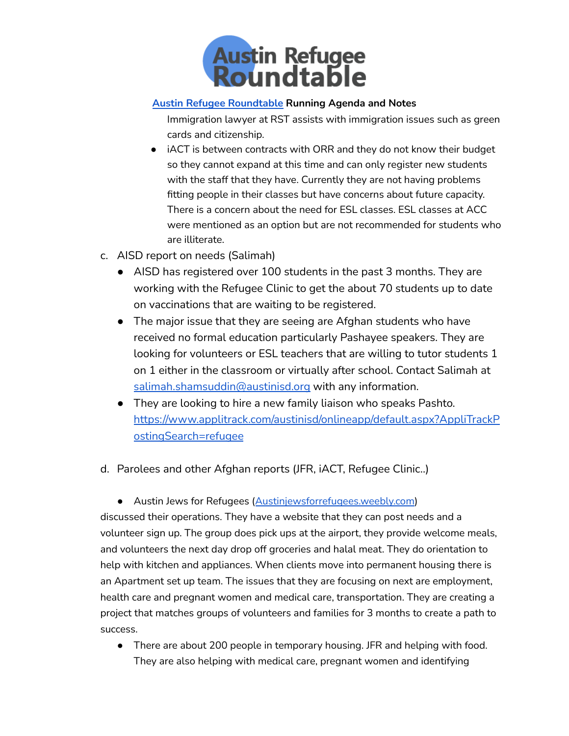

Immigration lawyer at RST assists with immigration issues such as green cards and citizenship.

- iACT is between contracts with ORR and they do not know their budget so they cannot expand at this time and can only register new students with the staff that they have. Currently they are not having problems fitting people in their classes but have concerns about future capacity. There is a concern about the need for ESL classes. ESL classes at ACC were mentioned as an option but are not recommended for students who are illiterate.
- c. AISD report on needs (Salimah)
	- AISD has registered over 100 students in the past 3 months. They are working with the Refugee Clinic to get the about 70 students up to date on vaccinations that are waiting to be registered.
	- The major issue that they are seeing are Afghan students who have received no formal education particularly Pashayee speakers. They are looking for volunteers or ESL teachers that are willing to tutor students 1 on 1 either in the classroom or virtually after school. Contact Salimah at [salimah.shamsuddin@austinisd.org](mailto:salimah.shamsuddin@austinisd.org) with any information.
	- They are looking to hire a new family liaison who speaks Pashto. [https://www.applitrack.com/austinisd/onlineapp/default.aspx?AppliTrackP](https://www.applitrack.com/austinisd/onlineapp/default.aspx?AppliTrackPostingSearch=refugee) [ostingSearch=refugee](https://www.applitrack.com/austinisd/onlineapp/default.aspx?AppliTrackPostingSearch=refugee)
- d. Parolees and other Afghan reports (JFR, iACT, Refugee Clinic..)
	- Austin Jews for Refugees ([Austinjewsforrefugees.weebly.com](http://austinjewsforrefugees.weebly.com))

discussed their operations. They have a website that they can post needs and a volunteer sign up. The group does pick ups at the airport, they provide welcome meals, and volunteers the next day drop off groceries and halal meat. They do orientation to help with kitchen and appliances. When clients move into permanent housing there is an Apartment set up team. The issues that they are focusing on next are employment, health care and pregnant women and medical care, transportation. They are creating a project that matches groups of volunteers and families for 3 months to create a path to success.

● There are about 200 people in temporary housing. JFR and helping with food. They are also helping with medical care, pregnant women and identifying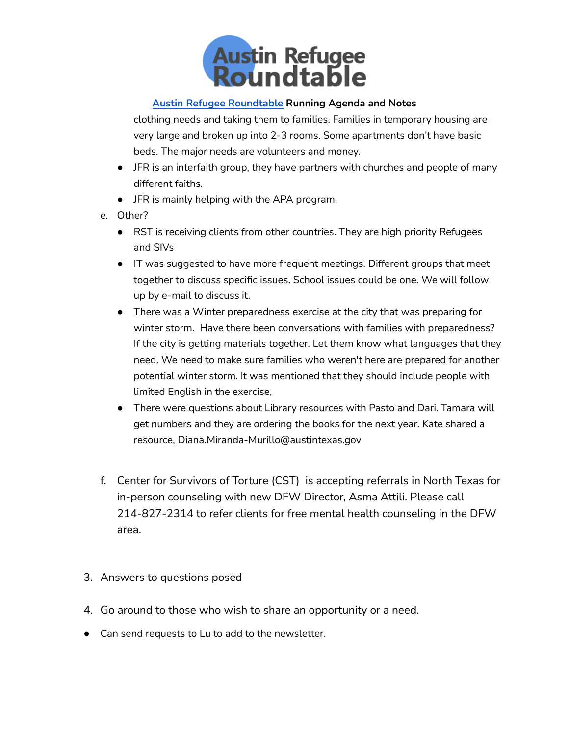

clothing needs and taking them to families. Families in temporary housing are very large and broken up into 2-3 rooms. Some apartments don't have basic beds. The major needs are volunteers and money.

- JFR is an interfaith group, they have partners with churches and people of many different faiths.
- JFR is mainly helping with the APA program.
- e. Other?
	- RST is receiving clients from other countries. They are high priority Refugees and SIVs
	- IT was suggested to have more frequent meetings. Different groups that meet together to discuss specific issues. School issues could be one. We will follow up by e-mail to discuss it.
	- There was a Winter preparedness exercise at the city that was preparing for winter storm. Have there been conversations with families with preparedness? If the city is getting materials together. Let them know what languages that they need. We need to make sure families who weren't here are prepared for another potential winter storm. It was mentioned that they should include people with limited English in the exercise,
	- There were questions about Library resources with Pasto and Dari. Tamara will get numbers and they are ordering the books for the next year. Kate shared a resource, Diana.Miranda-Murillo@austintexas.gov
- f. Center for Survivors of Torture (CST) is accepting referrals in North Texas for in-person counseling with new DFW Director, Asma Attili. Please call 214-827-2314 to refer clients for free mental health counseling in the DFW area.
- 3. Answers to questions posed
- 4. Go around to those who wish to share an opportunity or a need.
- Can send requests to Lu to add to the newsletter.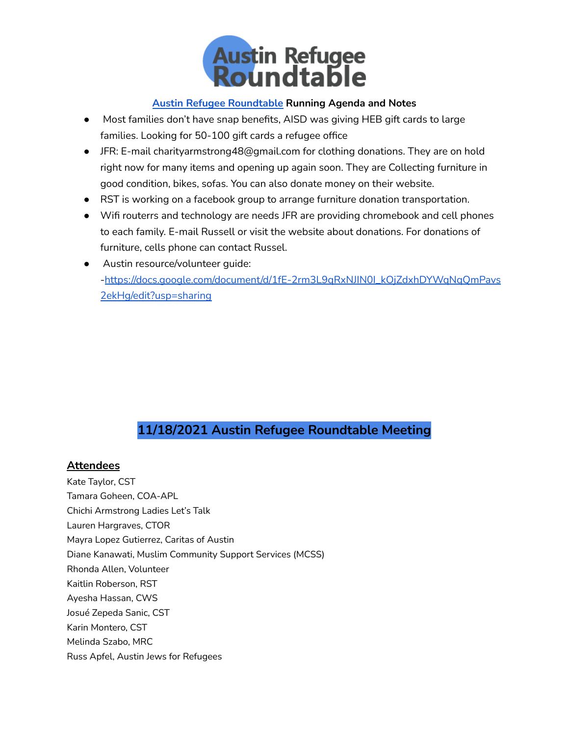

- Most families don't have snap benefits, AISD was giving HEB gift cards to large families. Looking for 50-100 gift cards a refugee office
- JFR: E-mail charityarmstrong48@gmail.com for clothing donations. They are on hold right now for many items and opening up again soon. They are Collecting furniture in good condition, bikes, sofas. You can also donate money on their website.
- RST is working on a facebook group to arrange furniture donation transportation.
- Wifi routerrs and technology are needs JFR are providing chromebook and cell phones to each family. E-mail Russell or visit the website about donations. For donations of furniture, cells phone can contact Russel.
- Austin resource/volunteer quide: -[https://docs.google.com/document/d/1fE-2rm3L9qRxNJIN0I\\_kOjZdxhDYWqNqQmPavs](https://docs.google.com/document/d/1fE-2rm3L9qRxNJIN0I_kOjZdxhDYWqNqQmPavs2ekHg/edit?usp=sharing) [2ekHg/edit?usp=sharing](https://docs.google.com/document/d/1fE-2rm3L9qRxNJIN0I_kOjZdxhDYWqNqQmPavs2ekHg/edit?usp=sharing)

# **11/18/2021 Austin Refugee Roundtable Meeting**

## **Attendees**

Kate Taylor, CST Tamara Goheen, COA-APL Chichi Armstrong Ladies Let's Talk Lauren Hargraves, CTOR Mayra Lopez Gutierrez, Caritas of Austin Diane Kanawati, Muslim Community Support Services (MCSS) Rhonda Allen, Volunteer Kaitlin Roberson, RST Ayesha Hassan, CWS Josué Zepeda Sanic, CST Karin Montero, CST Melinda Szabo, MRC Russ Apfel, Austin Jews for Refugees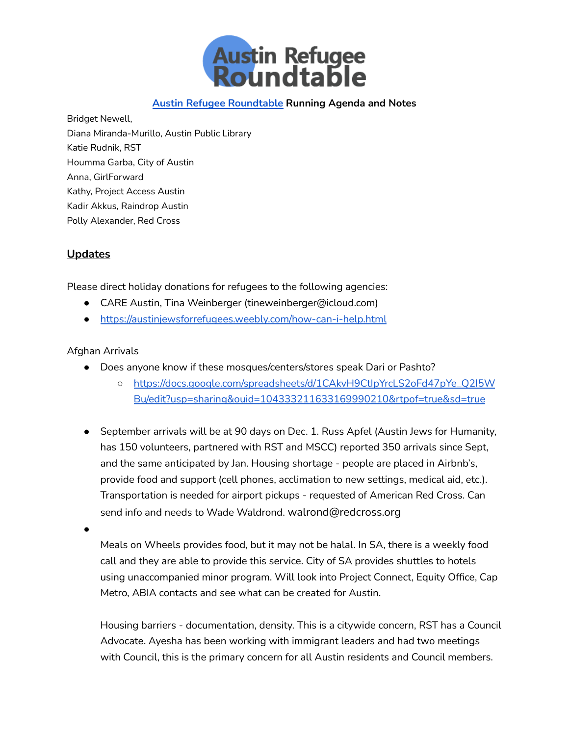

Bridget Newell, Diana Miranda-Murillo, Austin Public Library Katie Rudnik, RST Houmma Garba, City of Austin Anna, GirlForward Kathy, Project Access Austin Kadir Akkus, Raindrop Austin Polly Alexander, Red Cross

### **Updates**

Please direct holiday donations for refugees to the following agencies:

- CARE Austin, Tina Weinberger (tineweinberger@icloud.com)
- <https://austinjewsforrefugees.weebly.com/how-can-i-help.html>

#### Afghan Arrivals

- Does anyone know if these mosques/centers/stores speak Dari or Pashto?
	- [https://docs.google.com/spreadsheets/d/1CAkvH9CtIpYrcLS2oFd47pYe\\_Q2I5W](https://docs.google.com/spreadsheets/d/1CAkvH9CtIpYrcLS2oFd47pYe_Q2I5WBu/edit?usp=sharing&ouid=104333211633169990210&rtpof=true&sd=true) [Bu/edit?usp=sharing&ouid=104333211633169990210&rtpof=true&sd=true](https://docs.google.com/spreadsheets/d/1CAkvH9CtIpYrcLS2oFd47pYe_Q2I5WBu/edit?usp=sharing&ouid=104333211633169990210&rtpof=true&sd=true)
- September arrivals will be at 90 days on Dec. 1. Russ Apfel (Austin Jews for Humanity, has 150 volunteers, partnered with RST and MSCC) reported 350 arrivals since Sept, and the same anticipated by Jan. Housing shortage - people are placed in Airbnb's, provide food and support (cell phones, acclimation to new settings, medical aid, etc.). Transportation is needed for airport pickups - requested of American Red Cross. Can send info and needs to Wade Waldrond. walrond@redcross.org
- ●

Meals on Wheels provides food, but it may not be halal. In SA, there is a weekly food call and they are able to provide this service. City of SA provides shuttles to hotels using unaccompanied minor program. Will look into Project Connect, Equity Office, Cap Metro, ABIA contacts and see what can be created for Austin.

Housing barriers - documentation, density. This is a citywide concern, RST has a Council Advocate. Ayesha has been working with immigrant leaders and had two meetings with Council, this is the primary concern for all Austin residents and Council members.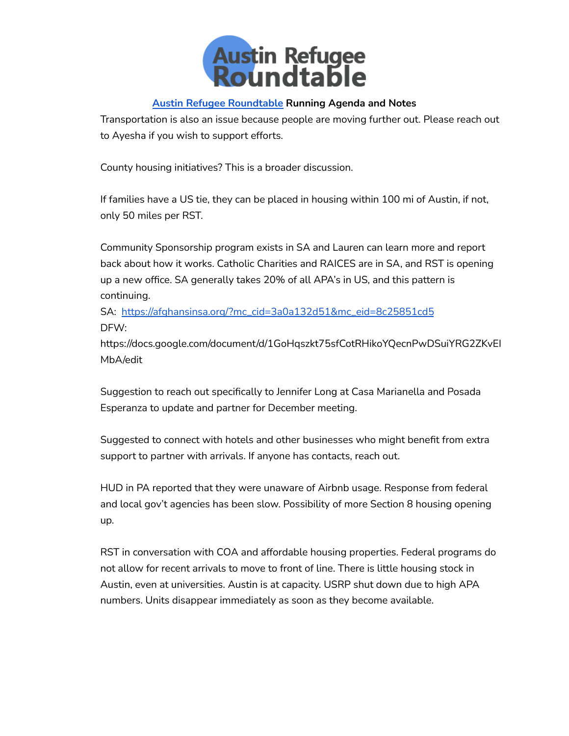

Transportation is also an issue because people are moving further out. Please reach out to Ayesha if you wish to support efforts.

County housing initiatives? This is a broader discussion.

If families have a US tie, they can be placed in housing within 100 mi of Austin, if not, only 50 miles per RST.

Community Sponsorship program exists in SA and Lauren can learn more and report back about how it works. Catholic Charities and RAICES are in SA, and RST is opening up a new office. SA generally takes 20% of all APA's in US, and this pattern is continuing.

SA: [https://afghansinsa.org/?mc\\_cid=3a0a132d51&mc\\_eid=8c25851cd5](https://afghansinsa.org/?mc_cid=3a0a132d51&mc_eid=8c25851cd5) DFW:

https://docs.google.com/document/d/1GoHqszkt75sfCotRHikoYQecnPwDSuiYRG2ZKvEI MbA/edit

Suggestion to reach out specifically to Jennifer Long at Casa Marianella and Posada Esperanza to update and partner for December meeting.

Suggested to connect with hotels and other businesses who might benefit from extra support to partner with arrivals. If anyone has contacts, reach out.

HUD in PA reported that they were unaware of Airbnb usage. Response from federal and local gov't agencies has been slow. Possibility of more Section 8 housing opening up.

RST in conversation with COA and affordable housing properties. Federal programs do not allow for recent arrivals to move to front of line. There is little housing stock in Austin, even at universities. Austin is at capacity. USRP shut down due to high APA numbers. Units disappear immediately as soon as they become available.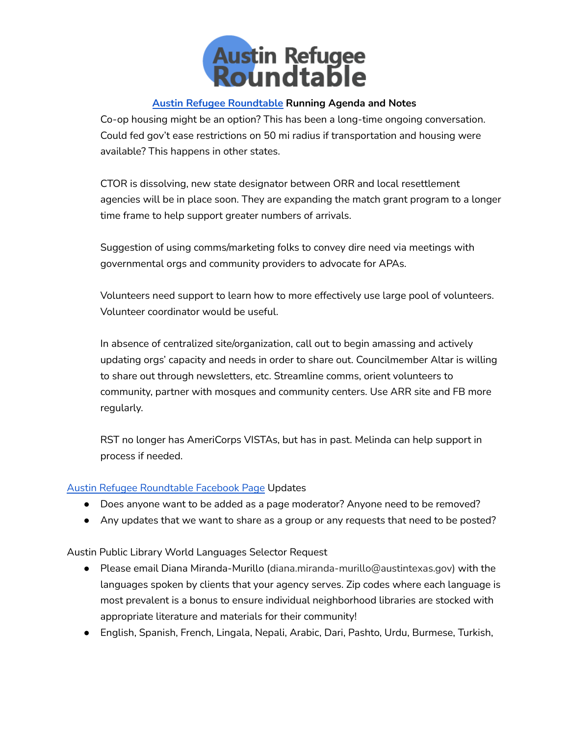

Co-op housing might be an option? This has been a long-time ongoing conversation. Could fed gov't ease restrictions on 50 mi radius if transportation and housing were available? This happens in other states.

CTOR is dissolving, new state designator between ORR and local resettlement agencies will be in place soon. They are expanding the match grant program to a longer time frame to help support greater numbers of arrivals.

Suggestion of using comms/marketing folks to convey dire need via meetings with governmental orgs and community providers to advocate for APAs.

Volunteers need support to learn how to more effectively use large pool of volunteers. Volunteer coordinator would be useful.

In absence of centralized site/organization, call out to begin amassing and actively updating orgs' capacity and needs in order to share out. Councilmember Altar is willing to share out through newsletters, etc. Streamline comms, orient volunteers to community, partner with mosques and community centers. Use ARR site and FB more regularly.

RST no longer has AmeriCorps VISTAs, but has in past. Melinda can help support in process if needed.

### Austin Refugee [Roundtable](https://www.facebook.com/AustinRefugeeRoundtable) Facebook Page Updates

- Does anyone want to be added as a page moderator? Anyone need to be removed?
- Any updates that we want to share as a group or any requests that need to be posted?

Austin Public Library World Languages Selector Request

- Please email Diana Miranda-Murillo ([diana.miranda-murillo@austintexas.gov\)](https://email15.godaddy.com/webmail.php?auid=15467&afolder=INBOX&a=markReply#) with the languages spoken by clients that your agency serves. Zip codes where each language is most prevalent is a bonus to ensure individual neighborhood libraries are stocked with appropriate literature and materials for their community!
- English, Spanish, French, Lingala, Nepali, Arabic, Dari, Pashto, Urdu, Burmese, Turkish,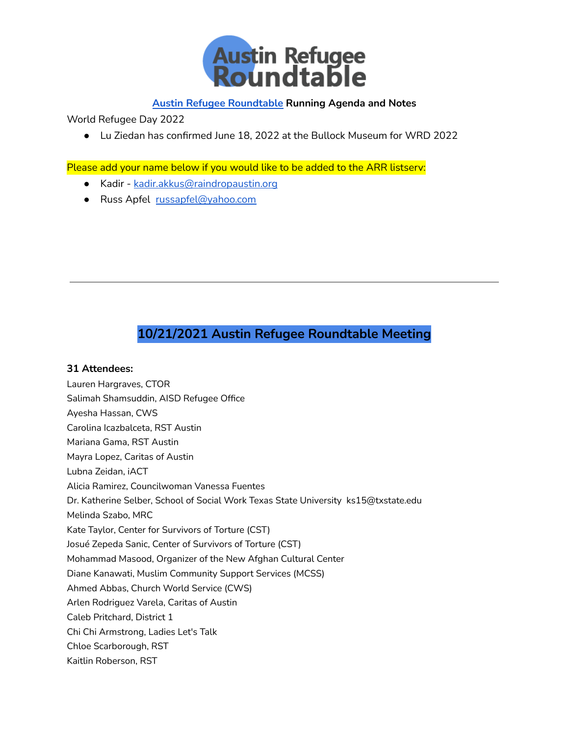

World Refugee Day 2022

● Lu Ziedan has confirmed June 18, 2022 at the Bullock Museum for WRD 2022

Please add your name below if you would like to be added to the ARR listserv:

- Kadir [kadir.akkus@raindropaustin.org](mailto:kadir.akkus@raindropaustin.org)
- Russ Apfel [russapfel@yahoo.com](mailto:russapfel@yahoo.com)

# **10/21/2021 Austin Refugee Roundtable Meeting**

#### **31 Attendees:**

Lauren Hargraves, CTOR Salimah Shamsuddin, AISD Refugee Office Ayesha Hassan, CWS Carolina Icazbalceta, RST Austin Mariana Gama, RST Austin Mayra Lopez, Caritas of Austin Lubna Zeidan, iACT Alicia Ramirez, Councilwoman Vanessa Fuentes Dr. Katherine Selber, School of Social Work Texas State University ks15@txstate.edu Melinda Szabo, MRC Kate Taylor, Center for Survivors of Torture (CST) Josué Zepeda Sanic, Center of Survivors of Torture (CST) Mohammad Masood, Organizer of the New Afghan Cultural Center Diane Kanawati, Muslim Community Support Services (MCSS) Ahmed Abbas, Church World Service (CWS) Arlen Rodriguez Varela, Caritas of Austin Caleb Pritchard, District 1 Chi Chi Armstrong, Ladies Let's Talk Chloe Scarborough, RST Kaitlin Roberson, RST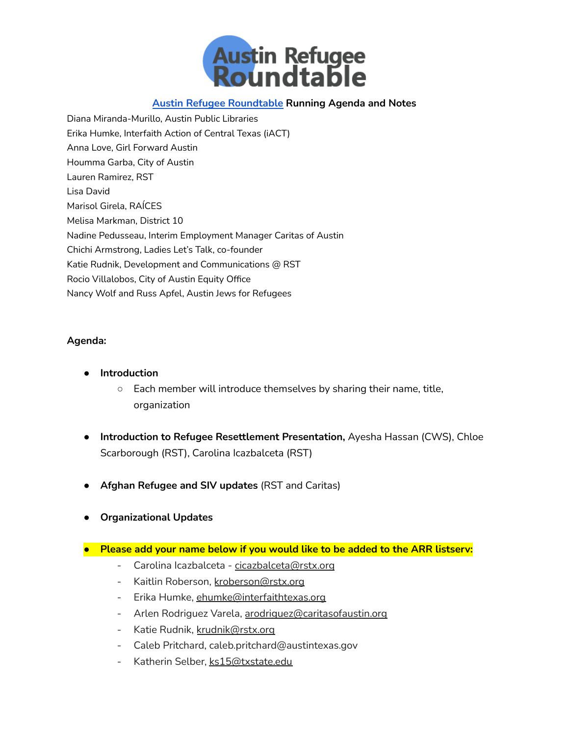

Diana Miranda-Murillo, Austin Public Libraries Erika Humke, Interfaith Action of Central Texas (iACT) Anna Love, Girl Forward Austin Houmma Garba, City of Austin Lauren Ramirez, RST Lisa David Marisol Girela, RAÍCES Melisa Markman, District 10 Nadine Pedusseau, Interim Employment Manager Caritas of Austin Chichi Armstrong, Ladies Let's Talk, co-founder Katie Rudnik, Development and Communications @ RST Rocio Villalobos, City of Austin Equity Office Nancy Wolf and Russ Apfel, Austin Jews for Refugees

#### **Agenda:**

- **● Introduction**
	- Each member will introduce themselves by sharing their name, title, organization
- **● Introduction to Refugee Resettlement Presentation,** Ayesha Hassan (CWS), Chloe Scarborough (RST), Carolina Icazbalceta (RST)
- **● Afghan Refugee and SIV updates** (RST and Caritas)
- **● Organizational Updates**
- **● Please add your name below if you would like to be added to the ARR listserv:**
	- Carolina Icazbalceta [cicazbalceta@rstx.org](mailto:cicazbalceta@rstx.org)
	- Kaitlin Roberson, [kroberson@rstx.org](mailto:kroberson@rstx.org)
	- Erika Humke, [ehumke@interfaithtexas.org](mailto:ehumke@interfaithtexas.org)
	- Arlen Rodriguez Varela, [arodriguez@caritasofaustin.org](mailto:arodriguez@caritasofaustin.org)
	- Katie Rudnik, [krudnik@rstx.org](mailto:krudnik@rstx.org)
	- Caleb Pritchard, caleb.pritchard@austintexas.gov
	- Katherin Selber, [ks15@txstate.edu](https://email15.godaddy.com/compose.php?sendto=ks15%40txstate.edu)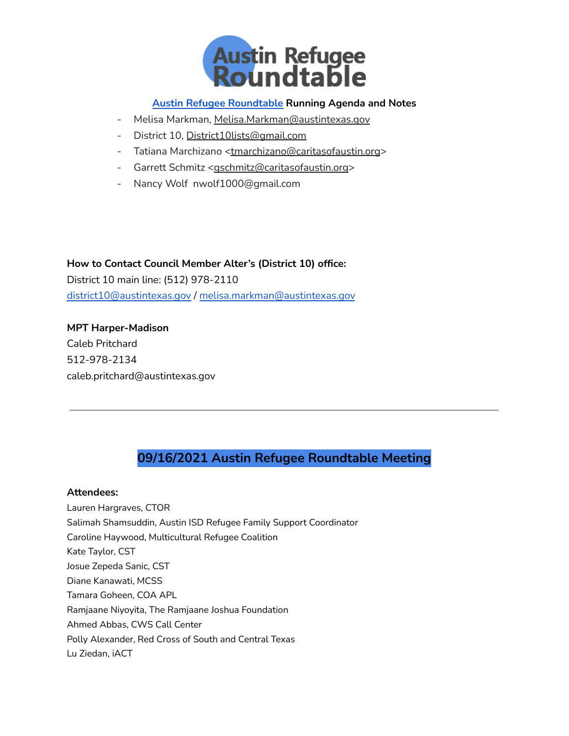

- Melisa Markman, [Melisa.Markman@austintexas.gov](mailto:Melisa.Markman@austintexas.gov)
- District 10, [District10lists@gmail.com](mailto:District10lists@gmail.com)
- Tatiana Marchizano [<tmarchizano@caritasofaustin.org](https://email15.godaddy.com/compose.php?sendto=tmarchizano%40caritasofaustin.org)>
- Garrett Schmitz [<gschmitz@caritasofaustin.org](https://email15.godaddy.com/compose.php?sendto=gschmitz%40caritasofaustin.org)>
- Nancy Wolf nwolf1000@gmail.com

**How to Contact Council Member Alter's (District 10) office:** District 10 main line: (512) 978-2110 [district10@austintexas.gov](mailto:district10@austintexas.gov) / [melisa.markman@austintexas.gov](mailto:melisa.markman@austintexas.gov)

**MPT Harper-Madison** Caleb Pritchard 512-978-2134 caleb.pritchard@austintexas.gov

# **09/16/2021 Austin Refugee Roundtable Meeting**

#### **Attendees:**

Lauren Hargraves, CTOR Salimah Shamsuddin, Austin ISD Refugee Family Support Coordinator Caroline Haywood, Multicultural Refugee Coalition Kate Taylor, CST Josue Zepeda Sanic, CST Diane Kanawati, MCSS Tamara Goheen, COA APL Ramjaane Niyoyita, The Ramjaane Joshua Foundation Ahmed Abbas, CWS Call Center Polly Alexander, Red Cross of South and Central Texas Lu Ziedan, iACT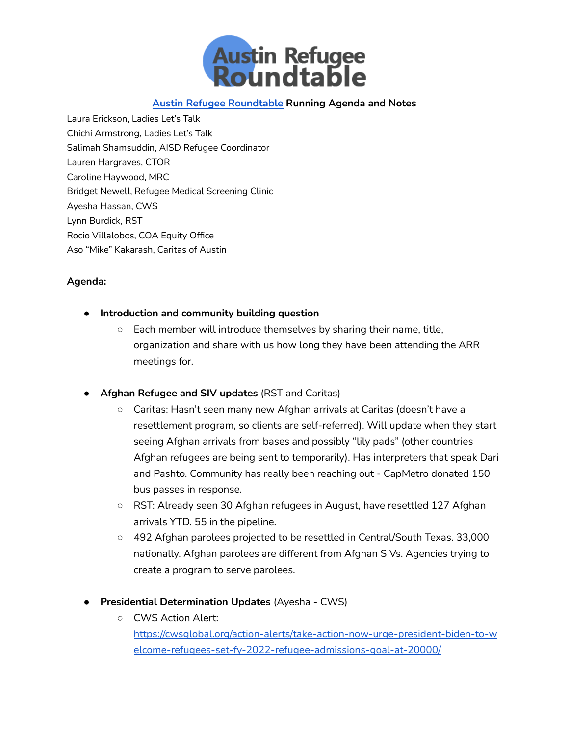

Laura Erickson, Ladies Let's Talk Chichi Armstrong, Ladies Let's Talk Salimah Shamsuddin, AISD Refugee Coordinator Lauren Hargraves, CTOR Caroline Haywood, MRC Bridget Newell, Refugee Medical Screening Clinic Ayesha Hassan, CWS Lynn Burdick, RST Rocio Villalobos, COA Equity Office Aso "Mike" Kakarash, Caritas of Austin

### **Agenda:**

- **● Introduction and community building question**
	- $\circ$  Each member will introduce themselves by sharing their name, title, organization and share with us how long they have been attending the ARR meetings for.
- **● Afghan Refugee and SIV updates** (RST and Caritas)
	- Caritas: Hasn't seen many new Afghan arrivals at Caritas (doesn't have a resettlement program, so clients are self-referred). Will update when they start seeing Afghan arrivals from bases and possibly "lily pads" (other countries Afghan refugees are being sent to temporarily). Has interpreters that speak Dari and Pashto. Community has really been reaching out - CapMetro donated 150 bus passes in response.
	- RST: Already seen 30 Afghan refugees in August, have resettled 127 Afghan arrivals YTD. 55 in the pipeline.
	- 492 Afghan parolees projected to be resettled in Central/South Texas. 33,000 nationally. Afghan parolees are different from Afghan SIVs. Agencies trying to create a program to serve parolees.
- **● Presidential Determination Updates** (Ayesha CWS)
	- CWS Action Alert: [https://cwsglobal.org/action-alerts/take-action-now-urge-president-biden-to-w](https://cwsglobal.org/action-alerts/take-action-now-urge-president-biden-to-welcome-refugees-set-fy-2022-refugee-admissions-goal-at-20000/) [elcome-refugees-set-fy-2022-refugee-admissions-goal-at-20000/](https://cwsglobal.org/action-alerts/take-action-now-urge-president-biden-to-welcome-refugees-set-fy-2022-refugee-admissions-goal-at-20000/)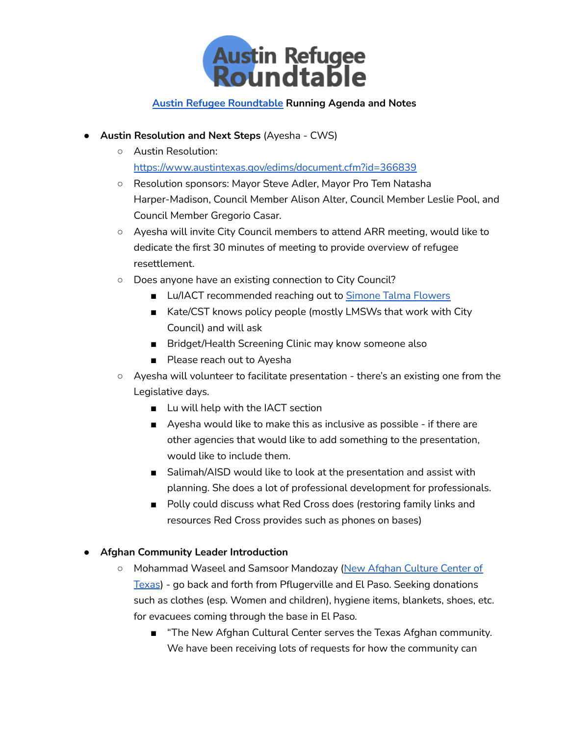

- **● Austin Resolution and Next Steps** (Ayesha CWS)
	- Austin Resolution: <https://www.austintexas.gov/edims/document.cfm?id=366839>
	- Resolution sponsors: Mayor Steve Adler, Mayor Pro Tem Natasha Harper-Madison, Council Member Alison Alter, Council Member Leslie Pool, and Council Member Gregorio Casar.
	- Ayesha will invite City Council members to attend ARR meeting, would like to dedicate the first 30 minutes of meeting to provide overview of refugee resettlement.
	- Does anyone have an existing connection to City Council?
		- Lu/IACT recommended reaching out to Simone Talma [Flowers](mailto:stalma@interfaithtexas.org)
		- Kate/CST knows policy people (mostly LMSWs that work with City Council) and will ask
		- Bridget/Health Screening Clinic may know someone also
		- Please reach out to Ayesha
	- Ayesha will volunteer to facilitate presentation there's an existing one from the Legislative days.
		- Lu will help with the IACT section
		- Ayesha would like to make this as inclusive as possible if there are other agencies that would like to add something to the presentation, would like to include them.
		- Salimah/AISD would like to look at the presentation and assist with planning. She does a lot of professional development for professionals.
		- Polly could discuss what Red Cross does (restoring family links and resources Red Cross provides such as phones on bases)

## **● Afghan Community Leader Introduction**

- Mohammad Waseel and Samsoor Mandozay (New Afghan [Culture](https://www.facebook.com/New-Afghan-Culture-Center-in-Texas-139742313291042/?ref=page_internal) Center of [Texas](https://www.facebook.com/New-Afghan-Culture-Center-in-Texas-139742313291042/?ref=page_internal)) - go back and forth from Pflugerville and El Paso. Seeking donations such as clothes (esp. Women and children), hygiene items, blankets, shoes, etc. for evacuees coming through the base in El Paso.
	- "The New Afghan Cultural Center serves the Texas Afghan community. We have been receiving lots of requests for how the community can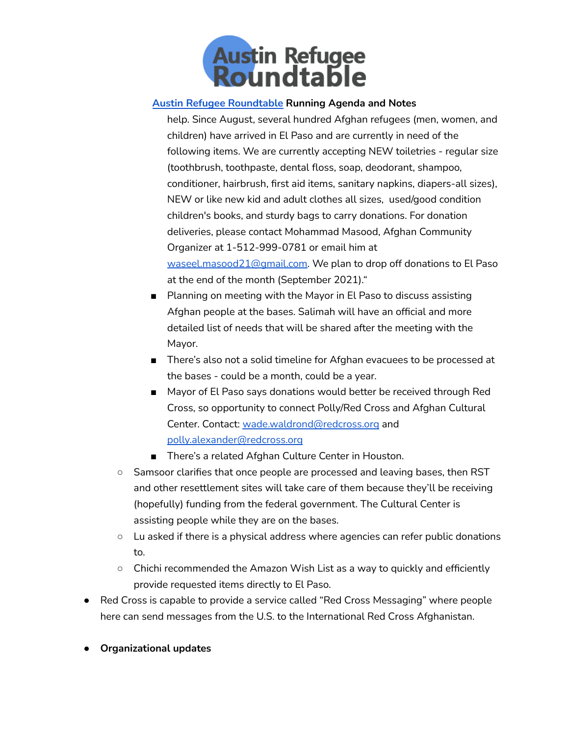

help. Since August, several hundred Afghan refugees (men, women, and children) have arrived in El Paso and are currently in need of the following items. We are currently accepting NEW toiletries - regular size (toothbrush, toothpaste, dental floss, soap, deodorant, shampoo, conditioner, hairbrush, first aid items, sanitary napkins, diapers-all sizes), NEW or like new kid and adult clothes all sizes, used/good condition children's books, and sturdy bags to carry donations. For donation deliveries, please contact Mohammad Masood, Afghan Community Organizer at 1-512-999-0781 or email him at [waseel.masood21@gmail.com.](mailto:waseel.masood21@gmail.com) We plan to drop off donations to El Paso at the end of the month (September 2021)."

- Planning on meeting with the Mayor in El Paso to discuss assisting Afghan people at the bases. Salimah will have an official and more detailed list of needs that will be shared after the meeting with the Mayor.
- There's also not a solid timeline for Afghan evacuees to be processed at the bases - could be a month, could be a year.
- Mayor of El Paso says donations would better be received through Red Cross, so opportunity to connect Polly/Red Cross and Afghan Cultural Center. Contact: [wade.waldrond@redcross.org](mailto:wade.waldrond@redcross.org) and [polly.alexander@redcross.org](mailto:polly.alexander@redcross.org)
- There's a related Afghan Culture Center in Houston.
- Samsoor clarifies that once people are processed and leaving bases, then RST and other resettlement sites will take care of them because they'll be receiving (hopefully) funding from the federal government. The Cultural Center is assisting people while they are on the bases.
- Lu asked if there is a physical address where agencies can refer public donations to.
- Chichi recommended the Amazon Wish List as a way to quickly and efficiently provide requested items directly to El Paso.
- Red Cross is capable to provide a service called "Red Cross Messaging" where people here can send messages from the U.S. to the International Red Cross Afghanistan.
- **● Organizational updates**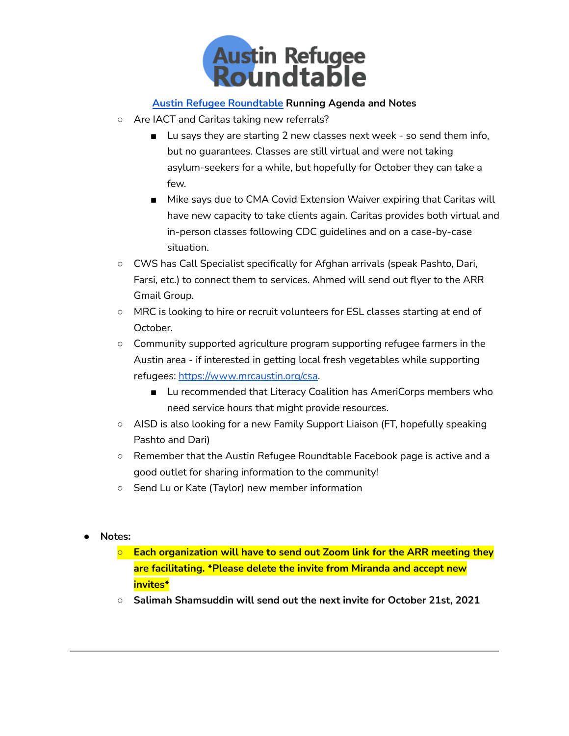

- Are IACT and Caritas taking new referrals?
	- Lu says they are starting 2 new classes next week so send them info, but no guarantees. Classes are still virtual and were not taking asylum-seekers for a while, but hopefully for October they can take a few.
	- Mike says due to CMA Covid Extension Waiver expiring that Caritas will have new capacity to take clients again. Caritas provides both virtual and in-person classes following CDC guidelines and on a case-by-case situation.
- CWS has Call Specialist specifically for Afghan arrivals (speak Pashto, Dari, Farsi, etc.) to connect them to services. Ahmed will send out flyer to the ARR Gmail Group.
- MRC is looking to hire or recruit volunteers for ESL classes starting at end of October.
- Community supported agriculture program supporting refugee farmers in the Austin area - if interested in getting local fresh vegetables while supporting refugees: <https://www.mrcaustin.org/csa>.
	- Lu recommended that Literacy Coalition has AmeriCorps members who need service hours that might provide resources.
- AISD is also looking for a new Family Support Liaison (FT, hopefully speaking Pashto and Dari)
- Remember that the Austin Refugee Roundtable Facebook page is active and a good outlet for sharing information to the community!
- Send Lu or Kate (Taylor) new member information
- **● Notes:**
	- **○ Each organization will have to send out Zoom link for the ARR meeting they are facilitating. \*Please delete the invite from Miranda and accept new invites\***
	- **○ Salimah Shamsuddin will send out the next invite for October 21st, 2021**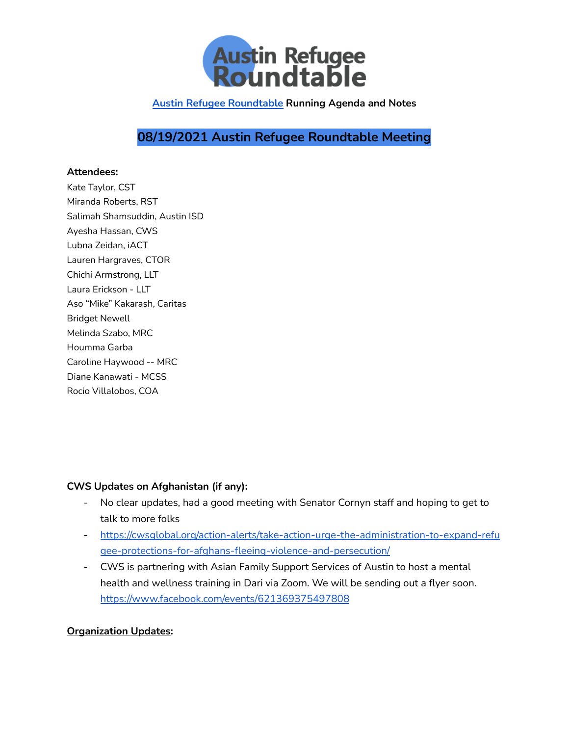

# **08/19/2021 Austin Refugee Roundtable Meeting**

#### **Attendees:**

Kate Taylor, CST Miranda Roberts, RST Salimah Shamsuddin, Austin ISD Ayesha Hassan, CWS Lubna Zeidan, iACT Lauren Hargraves, CTOR Chichi Armstrong, LLT Laura Erickson - LLT Aso "Mike" Kakarash, Caritas Bridget Newell Melinda Szabo, MRC Houmma Garba Caroline Haywood -- MRC Diane Kanawati - MCSS Rocio Villalobos, COA

## **CWS Updates on Afghanistan (if any):**

- No clear updates, had a good meeting with Senator Cornyn staff and hoping to get to talk to more folks
- [https://cwsglobal.org/action-alerts/take-action-urge-the-administration-to-expand-refu](https://cwsglobal.org/action-alerts/take-action-urge-the-administration-to-expand-refugee-protections-for-afghans-fleeing-violence-and-persecution/) [gee-protections-for-afghans-fleeing-violence-and-persecution/](https://cwsglobal.org/action-alerts/take-action-urge-the-administration-to-expand-refugee-protections-for-afghans-fleeing-violence-and-persecution/)
- CWS is partnering with Asian Family Support Services of Austin to host a mental health and wellness training in Dari via Zoom. We will be sending out a flyer soon. <https://www.facebook.com/events/621369375497808>

### **Organization Updates:**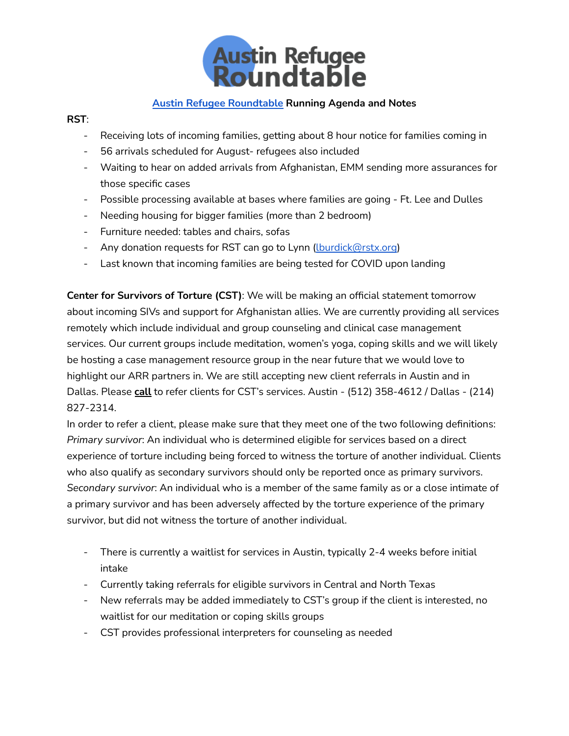

### **RST**:

- Receiving lots of incoming families, getting about 8 hour notice for families coming in
- 56 arrivals scheduled for August- refugees also included
- Waiting to hear on added arrivals from Afghanistan, EMM sending more assurances for those specific cases
- Possible processing available at bases where families are going Ft. Lee and Dulles
- Needing housing for bigger families (more than 2 bedroom)
- Furniture needed: tables and chairs, sofas
- Any donation requests for RST can go to Lynn (Lburdick@rstx.org)
- Last known that incoming families are being tested for COVID upon landing

**Center for Survivors of Torture (CST)**: We will be making an official statement tomorrow about incoming SIVs and support for Afghanistan allies. We are currently providing all services remotely which include individual and group counseling and clinical case management services. Our current groups include meditation, women's yoga, coping skills and we will likely be hosting a case management resource group in the near future that we would love to highlight our ARR partners in. We are still accepting new client referrals in Austin and in Dallas. Please **call** to refer clients for CST's services. Austin - (512) 358-4612 / Dallas - (214) 827-2314.

In order to refer a client, please make sure that they meet one of the two following definitions: *Primary survivor*: An individual who is determined eligible for services based on a direct experience of torture including being forced to witness the torture of another individual. Clients who also qualify as secondary survivors should only be reported once as primary survivors. *Secondary survivor*: An individual who is a member of the same family as or a close intimate of a primary survivor and has been adversely affected by the torture experience of the primary survivor, but did not witness the torture of another individual.

- There is currently a waitlist for services in Austin, typically 2-4 weeks before initial intake
- Currently taking referrals for eligible survivors in Central and North Texas
- New referrals may be added immediately to CST's group if the client is interested, no waitlist for our meditation or coping skills groups
- CST provides professional interpreters for counseling as needed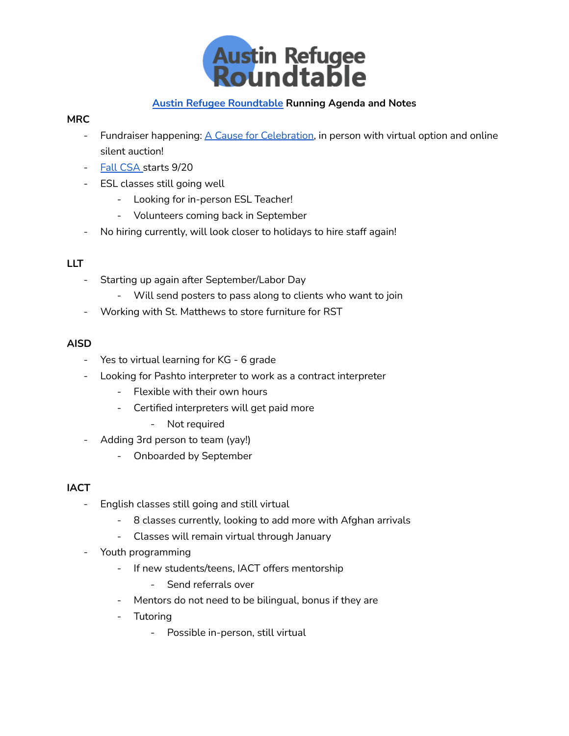

### **MRC**

- Fundraiser happening: A Cause for [Celebration,](https://www.betterunite.com/MRCAustin-2021acauseforcelebration) in person with virtual option and online silent auction!
- Fall [CSA](https://multicultural-refugee-coalition.myshopify.com/products/fall-2021-csa-subscription) starts 9/20
- ESL classes still going well
	- Looking for in-person ESL Teacher!
	- Volunteers coming back in September
- No hiring currently, will look closer to holidays to hire staff again!

### **LLT**

- Starting up again after September/Labor Day
	- Will send posters to pass along to clients who want to join
- Working with St. Matthews to store furniture for RST

## **AISD**

- Yes to virtual learning for KG 6 grade
- Looking for Pashto interpreter to work as a contract interpreter
	- Flexible with their own hours
	- Certified interpreters will get paid more
		- Not required
- Adding 3rd person to team (yay!)
	- Onboarded by September

## **IACT**

- English classes still going and still virtual
	- 8 classes currently, looking to add more with Afghan arrivals
	- Classes will remain virtual through January
- Youth programming
	- If new students/teens, IACT offers mentorship
		- Send referrals over
	- Mentors do not need to be bilingual, bonus if they are
	- Tutoring
		- Possible in-person, still virtual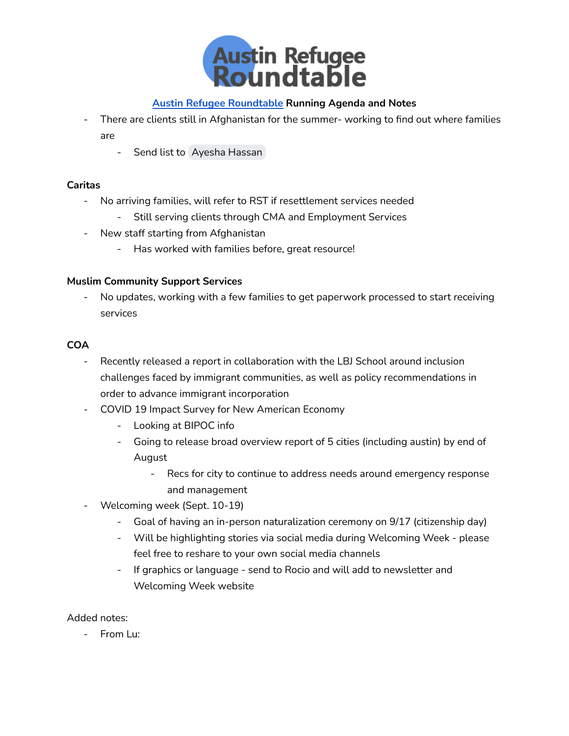

- There are clients still in Afghanistan for the summer- working to find out where families are
	- Send list to Ayesha [Hassan](mailto:ahassan@cwsglobal.org)

### **Caritas**

- No arriving families, will refer to RST if resettlement services needed
	- Still serving clients through CMA and Employment Services
- New staff starting from Afghanistan
	- Has worked with families before, great resource!

### **Muslim Community Support Services**

No updates, working with a few families to get paperwork processed to start receiving services

## **COA**

- Recently released a report in collaboration with the LBJ School around inclusion challenges faced by immigrant communities, as well as policy recommendations in order to advance immigrant incorporation
- COVID 19 Impact Survey for New American Economy
	- Looking at BIPOC info
	- Going to release broad overview report of 5 cities (including austin) by end of August
		- Recs for city to continue to address needs around emergency response and management
- Welcoming week (Sept. 10-19)
	- Goal of having an in-person naturalization ceremony on 9/17 (citizenship day)
	- Will be highlighting stories via social media during Welcoming Week please feel free to reshare to your own social media channels
	- If graphics or language send to Rocio and will add to newsletter and Welcoming Week website

Added notes:

- From Lu: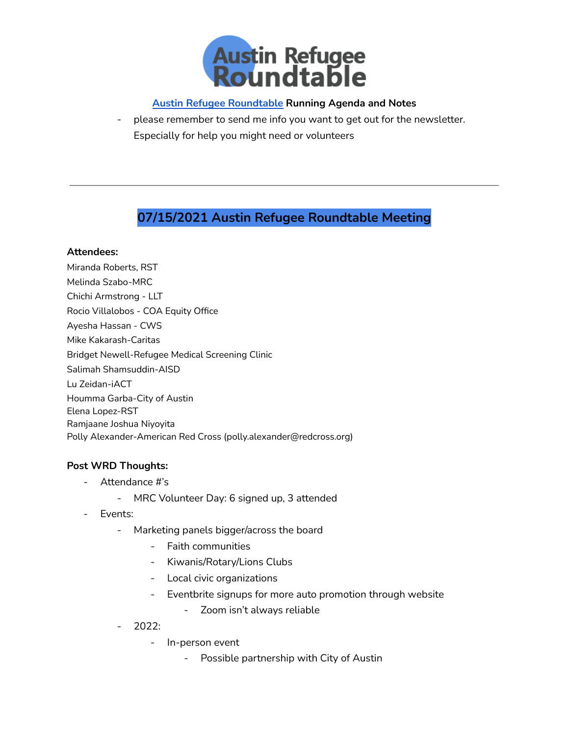

- please remember to send me info you want to get out for the newsletter. Especially for help you might need or volunteers

## **07/15/2021 Austin Refugee Roundtable Meeting**

### **Attendees:**

Miranda Roberts, RST Melinda Szabo-MRC Chichi Armstrong - LLT Rocio Villalobos - COA Equity Office Ayesha Hassan - CWS Mike Kakarash-Caritas Bridget Newell-Refugee Medical Screening Clinic Salimah Shamsuddin-AISD Lu Zeidan-iACT Houmma Garba-City of Austin Elena Lopez-RST Ramjaane Joshua Niyoyita Polly Alexander-American Red Cross (polly.alexander@redcross.org)

### **Post WRD Thoughts:**

- Attendance #'s
	- MRC Volunteer Day: 6 signed up, 3 attended
- Events:
	- Marketing panels bigger/across the board
		- Faith communities
		- Kiwanis/Rotary/Lions Clubs
		- Local civic organizations
		- Eventbrite signups for more auto promotion through website
			- Zoom isn't always reliable
	- 2022:
		- In-person event
			- Possible partnership with City of Austin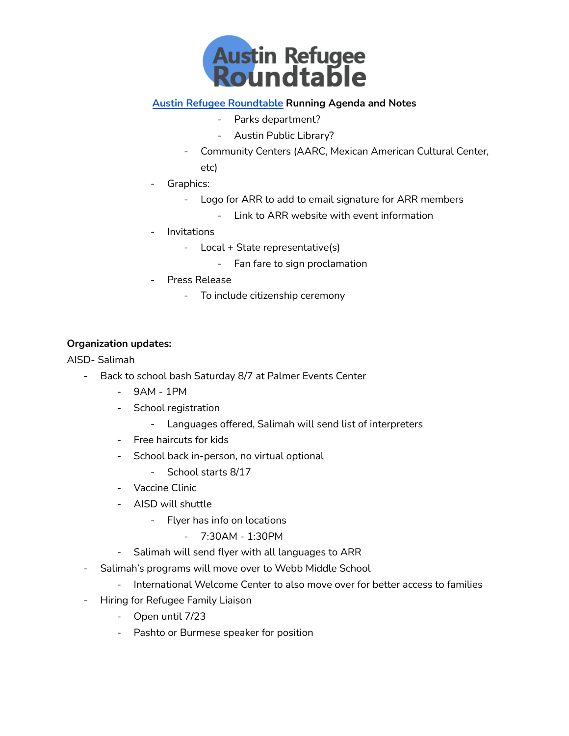

- Parks department?
- Austin Public Library?
- Community Centers (AARC, Mexican American Cultural Center, etc)
- Graphics:
	- Logo for ARR to add to email signature for ARR members
		- Link to ARR website with event information
- **Invitations** 
	- Local + State representative(s)
		- Fan fare to sign proclamation
- Press Release
	- To include citizenship ceremony

### **Organization updates:**

AISD- Salimah

- Back to school bash Saturday 8/7 at Palmer Events Center
	- 9AM 1PM
	- School registration
		- Languages offered, Salimah will send list of interpreters
	- Free haircuts for kids
	- School back in-person, no virtual optional
		- School starts 8/17
	- Vaccine Clinic
	- AISD will shuttle
		- Flyer has info on locations
			- 7:30AM 1:30PM
	- Salimah will send flyer with all languages to ARR
- Salimah's programs will move over to Webb Middle School
	- International Welcome Center to also move over for better access to families
- Hiring for Refugee Family Liaison
	- Open until 7/23
	- Pashto or Burmese speaker for position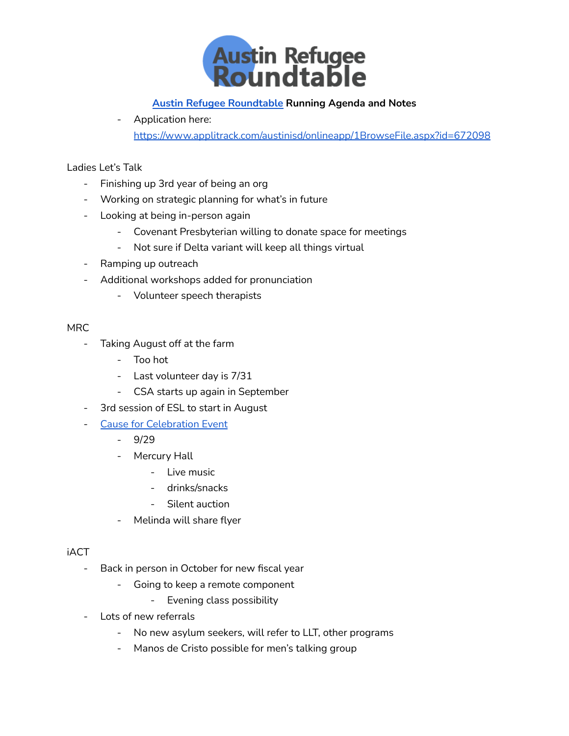

- Application here: <https://www.applitrack.com/austinisd/onlineapp/1BrowseFile.aspx?id=672098>

### Ladies Let's Talk

- Finishing up 3rd year of being an org
- Working on strategic planning for what's in future
- Looking at being in-person again
	- Covenant Presbyterian willing to donate space for meetings
	- Not sure if Delta variant will keep all things virtual
- Ramping up outreach
- Additional workshops added for pronunciation
	- Volunteer speech therapists

### **MRC**

- Taking August off at the farm
	- Too hot
	- Last volunteer day is 7/31
	- CSA starts up again in September
- 3rd session of ESL to start in August
- **Cause for [Celebration](https://www.mrcaustin.org/celebration2021?blm_aid=99129344) Event** 
	- 9/29
	- Mercury Hall
		- Live music
		- drinks/snacks
		- Silent auction
	- Melinda will share flyer

### iACT

- Back in person in October for new fiscal year
	- Going to keep a remote component
		- Evening class possibility
- Lots of new referrals
	- No new asylum seekers, will refer to LLT, other programs
	- Manos de Cristo possible for men's talking group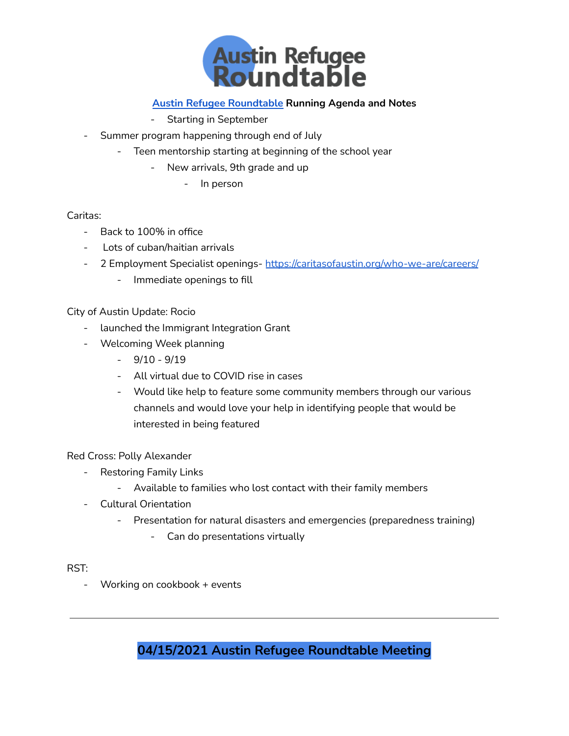

- Starting in September
- Summer program happening through end of July
	- Teen mentorship starting at beginning of the school year
		- New arrivals, 9th grade and up
			- In person

### Caritas:

- Back to 100% in office
- Lots of cuban/haitian arrivals
- 2 Employment Specialist openings- <https://caritasofaustin.org/who-we-are/careers/>
	- Immediate openings to fill

## City of Austin Update: Rocio

- launched the Immigrant Integration Grant
- Welcoming Week planning
	- $-9/10 9/19$
	- All virtual due to COVID rise in cases
	- Would like help to feature some community members through our various channels and would love your help in identifying people that would be interested in being featured

## Red Cross: Polly Alexander

- Restoring Family Links
	- Available to families who lost contact with their family members
- Cultural Orientation
	- Presentation for natural disasters and emergencies (preparedness training)
		- Can do presentations virtually

### RST:

- Working on cookbook + events

**04/15/2021 Austin Refugee Roundtable Meeting**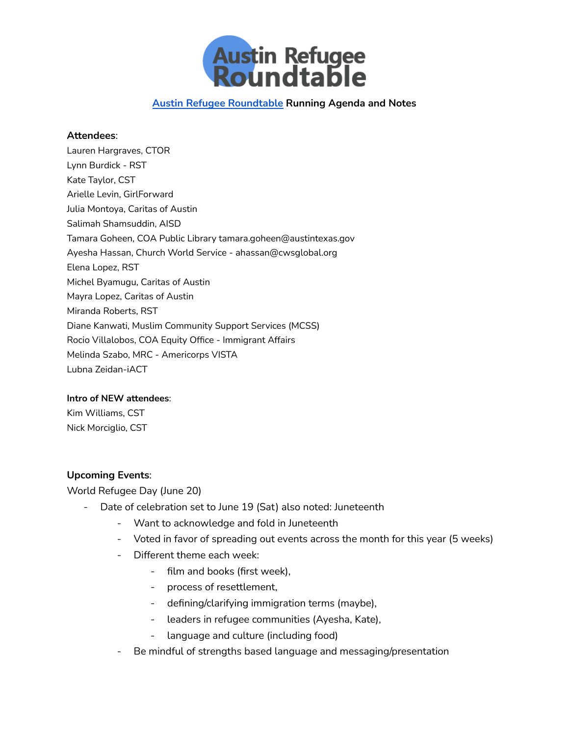

#### **Attendees**:

Lauren Hargraves, CTOR Lynn Burdick - RST Kate Taylor, CST Arielle Levin, GirlForward Julia Montoya, Caritas of Austin Salimah Shamsuddin, AISD Tamara Goheen, COA Public Library tamara.goheen@austintexas.gov Ayesha Hassan, Church World Service - ahassan@cwsglobal.org Elena Lopez, RST Michel Byamugu, Caritas of Austin Mayra Lopez, Caritas of Austin Miranda Roberts, RST Diane Kanwati, Muslim Community Support Services (MCSS) Rocio Villalobos, COA Equity Office - Immigrant Affairs Melinda Szabo, MRC - Americorps VISTA Lubna Zeidan-iACT

#### **Intro of NEW attendees**:

Kim Williams, CST Nick Morciglio, CST

### **Upcoming Events**:

World Refugee Day (June 20)

- Date of celebration set to June 19 (Sat) also noted: Juneteenth
	- Want to acknowledge and fold in Juneteenth
	- Voted in favor of spreading out events across the month for this year (5 weeks)
	- Different theme each week:
		- film and books (first week),
		- process of resettlement,
		- defining/clarifying immigration terms (maybe),
		- leaders in refugee communities (Ayesha, Kate),
		- language and culture (including food)
	- Be mindful of strengths based language and messaging/presentation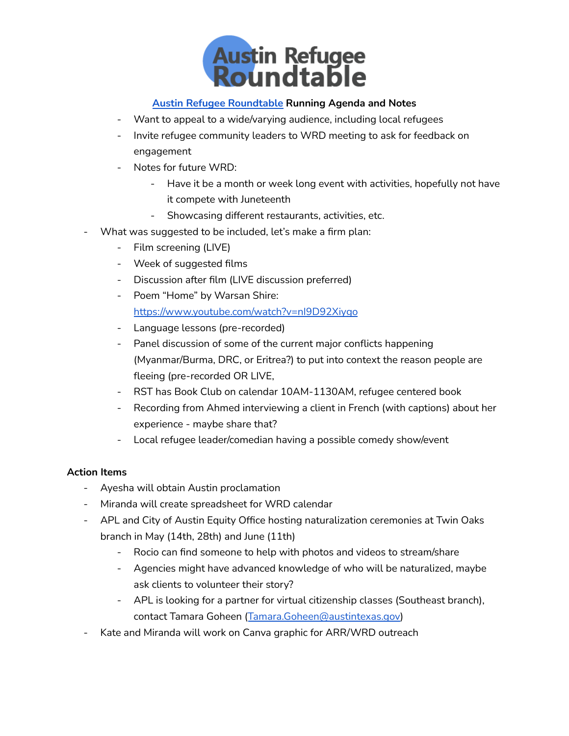

- Want to appeal to a wide/varying audience, including local refugees
- Invite refugee community leaders to WRD meeting to ask for feedback on engagement
- Notes for future WRD:
	- Have it be a month or week long event with activities, hopefully not have it compete with Juneteenth
	- Showcasing different restaurants, activities, etc.
- What was suggested to be included, let's make a firm plan:
	- Film screening (LIVE)
	- Week of suggested films
	- Discussion after film (LIVE discussion preferred)
	- Poem "Home" by Warsan Shire: <https://www.youtube.com/watch?v=nI9D92Xiygo>
	- Language lessons (pre-recorded)
	- Panel discussion of some of the current major conflicts happening (Myanmar/Burma, DRC, or Eritrea?) to put into context the reason people are fleeing (pre-recorded OR LIVE,
	- RST has Book Club on calendar 10AM-1130AM, refugee centered book
	- Recording from Ahmed interviewing a client in French (with captions) about her experience - maybe share that?
	- Local refugee leader/comedian having a possible comedy show/event

### **Action Items**

- Ayesha will obtain Austin proclamation
- Miranda will create spreadsheet for WRD calendar
- APL and City of Austin Equity Office hosting naturalization ceremonies at Twin Oaks branch in May (14th, 28th) and June (11th)
	- Rocio can find someone to help with photos and videos to stream/share
	- Agencies might have advanced knowledge of who will be naturalized, maybe ask clients to volunteer their story?
	- APL is looking for a partner for virtual citizenship classes (Southeast branch), contact Tamara Goheen ([Tamara.Goheen@austintexas.gov\)](mailto:Tamara.Goheen@austintexas.gov)
- Kate and Miranda will work on Canva graphic for ARR/WRD outreach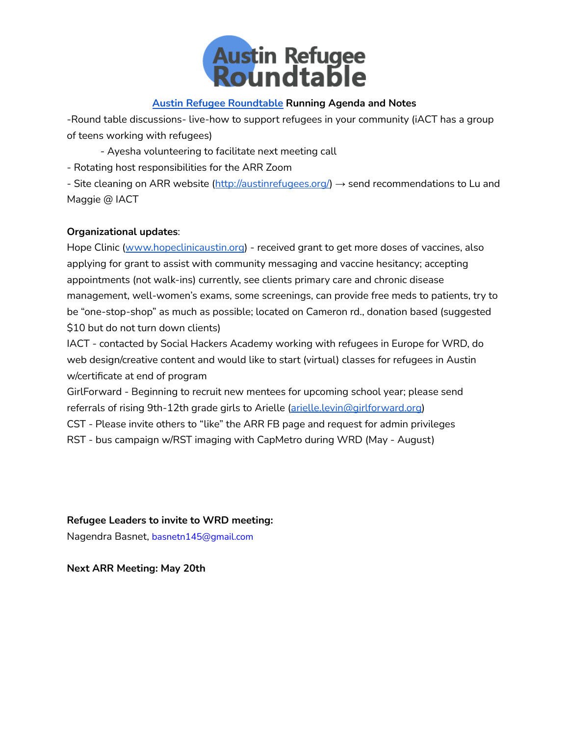

-Round table discussions- live-how to support refugees in your community (iACT has a group of teens working with refugees)

- Ayesha volunteering to facilitate next meeting call

- Rotating host responsibilities for the ARR Zoom

- Site cleaning on ARR website ([http://austinrefugees.org/\)](http://austinrefugees.org/) → send recommendations to Lu and Maggie @ IACT

### **Organizational updates**:

Hope Clinic ([www.hopeclinicaustin.org](http://www.hopeclinicaustin.org)) - received grant to get more doses of vaccines, also applying for grant to assist with community messaging and vaccine hesitancy; accepting appointments (not walk-ins) currently, see clients primary care and chronic disease management, well-women's exams, some screenings, can provide free meds to patients, try to be "one-stop-shop" as much as possible; located on Cameron rd., donation based (suggested \$10 but do not turn down clients)

IACT - contacted by Social Hackers Academy working with refugees in Europe for WRD, do web design/creative content and would like to start (virtual) classes for refugees in Austin w/certificate at end of program

GirlForward - Beginning to recruit new mentees for upcoming school year; please send referrals of rising 9th-12th grade girls to Arielle [\(arielle.levin@girlforward.org\)](mailto:arielle.levin@girlforward.org)

CST - Please invite others to "like" the ARR FB page and request for admin privileges

RST - bus campaign w/RST imaging with CapMetro during WRD (May - August)

**Refugee Leaders to invite to WRD meeting:**

Nagendra Basnet, [basnetn145@gmail.com](https://email15.godaddy.com/webmail.php?folder=INBOX.Meditation%20Group&firstMessage=1#)

**Next ARR Meeting: May 20th**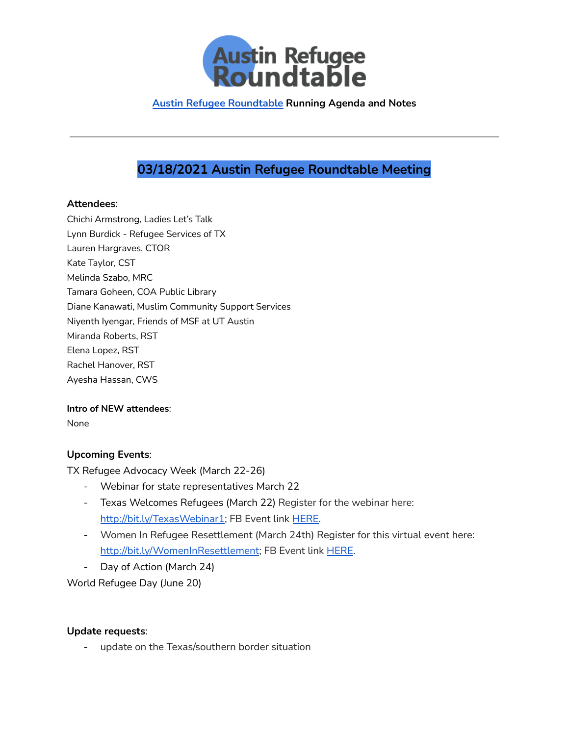

# **03/18/2021 Austin Refugee Roundtable Meeting**

#### **Attendees**:

Chichi Armstrong, Ladies Let's Talk Lynn Burdick - Refugee Services of TX Lauren Hargraves, CTOR Kate Taylor, CST Melinda Szabo, MRC Tamara Goheen, COA Public Library Diane Kanawati, Muslim Community Support Services Niyenth Iyengar, Friends of MSF at UT Austin Miranda Roberts, RST Elena Lopez, RST Rachel Hanover, RST Ayesha Hassan, CWS

### **Intro of NEW attendees**:

None

### **Upcoming Events**:

TX Refugee Advocacy Week (March 22-26)

- Webinar for state representatives March 22
- Texas Welcomes Refugees (March 22) Register for the webinar here: [http://bit.ly/TexasWebinar1;](https://bit.ly/TexasWebinar1?fbclid=IwAR2h1mxQGqTHYZGEsKduDJM5-dEsP5edijuNywuok2NAqOvLAt6KRaU0-S4) FB Event link [HERE](https://www.facebook.com/events/1108139979680247/?acontext=%7B%22source%22%3A%2229%22%2C%22ref_notif_type%22%3A%22plan_user_joined%22%2C%22action_history%22%3A%22null%22%7D¬if_id=1615427068461200¬if_t=plan_user_joined&ref=notif).
- Women In Refugee Resettlement (March 24th) Register for this virtual event here: [http://bit.ly/WomenInResettlement;](https://bit.ly/WomenInResettlement?fbclid=IwAR3QKGpGQXRnVqhuXUJmKNNyRIkHfZtNoAPU4OmRy-6iVxmTnOSE0Fn4L9g) FB Event link [HERE](https://www.facebook.com/events/705955123410454/?acontext=%7B%22source%22%3A%2229%22%2C%22ref_notif_type%22%3A%22plan_user_joined%22%2C%22action_history%22%3A%22null%22%7D¬if_id=1615439997345126¬if_t=plan_user_joined&ref=notif).
- Day of Action (March 24)

World Refugee Day (June 20)

### **Update requests**:

- update on the Texas/southern border situation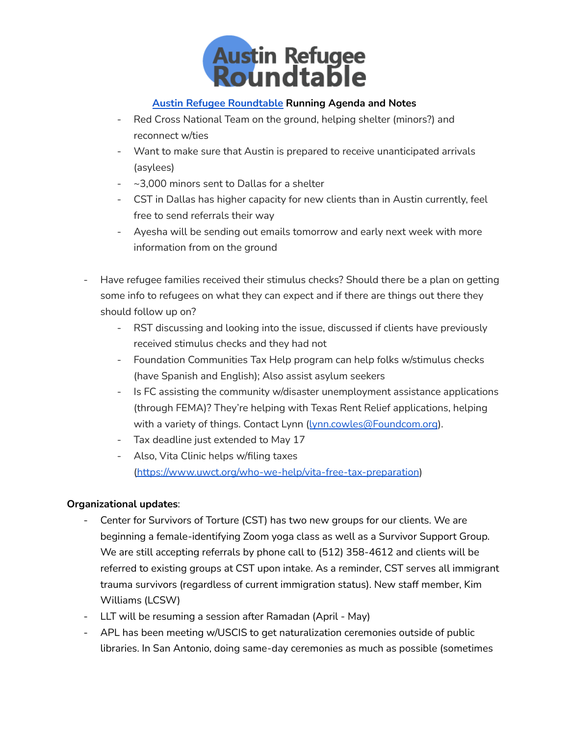

- Red Cross National Team on the ground, helping shelter (minors?) and reconnect w/ties
- Want to make sure that Austin is prepared to receive unanticipated arrivals (asylees)
- ~3,000 minors sent to Dallas for a shelter
- CST in Dallas has higher capacity for new clients than in Austin currently, feel free to send referrals their way
- Ayesha will be sending out emails tomorrow and early next week with more information from on the ground
- Have refugee families received their stimulus checks? Should there be a plan on getting some info to refugees on what they can expect and if there are things out there they should follow up on?
	- RST discussing and looking into the issue, discussed if clients have previously received stimulus checks and they had not
	- Foundation Communities Tax Help program can help folks w/stimulus checks (have Spanish and English); Also assist asylum seekers
	- Is FC assisting the community w/disaster unemployment assistance applications (through FEMA)? They're helping with Texas Rent Relief applications, helping with a variety of things. Contact Lynn ([lynn.cowles@Foundcom.org](mailto:lynn.cowles@Foundcom.org)).
	- Tax deadline just extended to May 17
	- Also, Vita Clinic helps w/filing taxes [\(https://www.uwct.org/who-we-help/vita-free-tax-preparation](https://www.uwct.org/who-we-help/vita-free-tax-preparation))

## **Organizational updates**:

- Center for Survivors of Torture (CST) has two new groups for our clients. We are beginning a female-identifying Zoom yoga class as well as a Survivor Support Group. We are still accepting referrals by phone call to (512) 358-4612 and clients will be referred to existing groups at CST upon intake. As a reminder, CST serves all immigrant trauma survivors (regardless of current immigration status). New staff member, Kim Williams (LCSW)
- LLT will be resuming a session after Ramadan (April May)
- APL has been meeting w/USCIS to get naturalization ceremonies outside of public libraries. In San Antonio, doing same-day ceremonies as much as possible (sometimes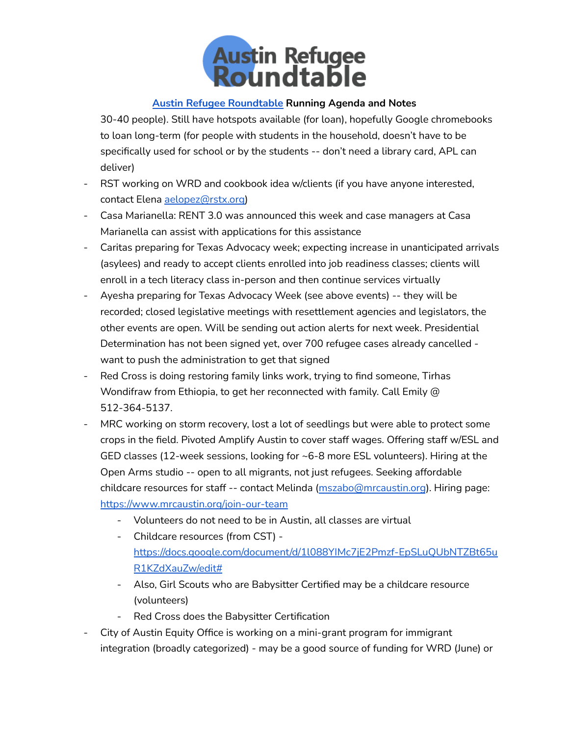

30-40 people). Still have hotspots available (for loan), hopefully Google chromebooks to loan long-term (for people with students in the household, doesn't have to be specifically used for school or by the students -- don't need a library card, APL can deliver)

- RST working on WRD and cookbook idea w/clients (if you have anyone interested, contact Elena [aelopez@rstx.org\)](mailto:aelopez@rstx.org)
- Casa Marianella: RENT 3.0 was announced this week and case managers at Casa Marianella can assist with applications for this assistance
- Caritas preparing for Texas Advocacy week; expecting increase in unanticipated arrivals (asylees) and ready to accept clients enrolled into job readiness classes; clients will enroll in a tech literacy class in-person and then continue services virtually
- Ayesha preparing for Texas Advocacy Week (see above events) -- they will be recorded; closed legislative meetings with resettlement agencies and legislators, the other events are open. Will be sending out action alerts for next week. Presidential Determination has not been signed yet, over 700 refugee cases already cancelled want to push the administration to get that signed
- Red Cross is doing restoring family links work, trying to find someone, Tirhas Wondifraw from Ethiopia, to get her reconnected with family. Call Emily @ 512-364-5137.
- MRC working on storm recovery, lost a lot of seedlings but were able to protect some crops in the field. Pivoted Amplify Austin to cover staff wages. Offering staff w/ESL and GED classes (12-week sessions, looking for ~6-8 more ESL volunteers). Hiring at the Open Arms studio -- open to all migrants, not just refugees. Seeking affordable childcare resources for staff -- contact Melinda [\(mszabo@mrcaustin.org](mailto:mszabo@mrcaustin.org)). Hiring page: <https://www.mrcaustin.org/join-our-team>
	- Volunteers do not need to be in Austin, all classes are virtual
	- Childcare resources (from CST) [https://docs.google.com/document/d/1l088YIMc7jE2Pmzf-EpSLuQUbNTZBt65u](https://docs.google.com/document/d/1l088YIMc7jE2Pmzf-EpSLuQUbNTZBt65uR1KZdXauZw/edit#) [R1KZdXauZw/edit#](https://docs.google.com/document/d/1l088YIMc7jE2Pmzf-EpSLuQUbNTZBt65uR1KZdXauZw/edit#)
	- Also, Girl Scouts who are Babysitter Certified may be a childcare resource (volunteers)
	- Red Cross does the Babysitter Certification
- City of Austin Equity Office is working on a mini-grant program for immigrant integration (broadly categorized) - may be a good source of funding for WRD (June) or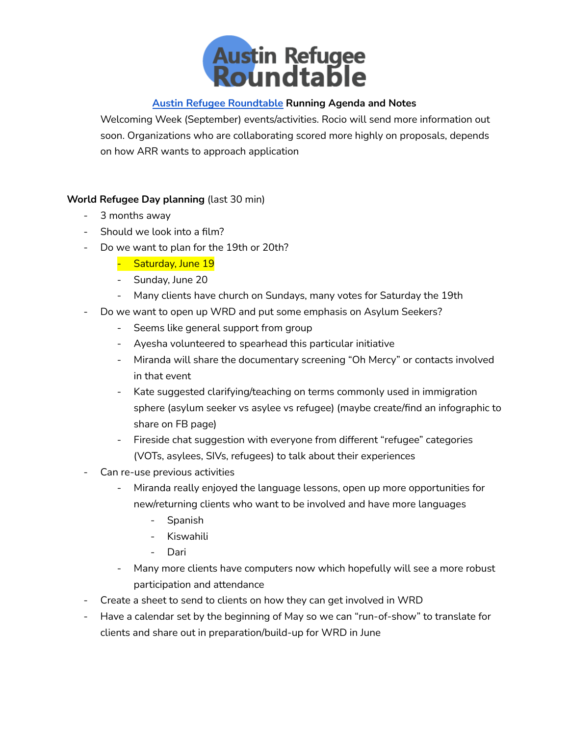

Welcoming Week (September) events/activities. Rocio will send more information out soon. Organizations who are collaborating scored more highly on proposals, depends on how ARR wants to approach application

## **World Refugee Day planning** (last 30 min)

- 3 months away
- Should we look into a film?
- Do we want to plan for the 19th or 20th?
	- Saturday, June 19
	- Sunday, June 20
	- Many clients have church on Sundays, many votes for Saturday the 19th
- Do we want to open up WRD and put some emphasis on Asylum Seekers?
	- Seems like general support from group
	- Ayesha volunteered to spearhead this particular initiative
	- Miranda will share the documentary screening "Oh Mercy" or contacts involved in that event
	- Kate suggested clarifying/teaching on terms commonly used in immigration sphere (asylum seeker vs asylee vs refugee) (maybe create/find an infographic to share on FB page)
	- Fireside chat suggestion with everyone from different "refugee" categories (VOTs, asylees, SIVs, refugees) to talk about their experiences
- Can re-use previous activities
	- Miranda really enjoyed the language lessons, open up more opportunities for new/returning clients who want to be involved and have more languages
		- Spanish
		- Kiswahili
		- Dari
	- Many more clients have computers now which hopefully will see a more robust participation and attendance
- Create a sheet to send to clients on how they can get involved in WRD
- Have a calendar set by the beginning of May so we can "run-of-show" to translate for clients and share out in preparation/build-up for WRD in June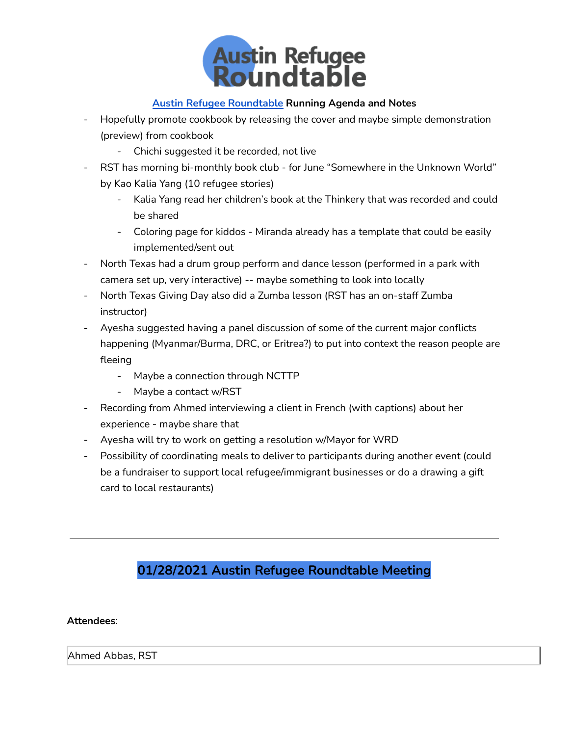

- Hopefully promote cookbook by releasing the cover and maybe simple demonstration (preview) from cookbook
	- Chichi suggested it be recorded, not live
- RST has morning bi-monthly book club for June "Somewhere in the Unknown World" by Kao Kalia Yang (10 refugee stories)
	- Kalia Yang read her children's book at the Thinkery that was recorded and could be shared
	- Coloring page for kiddos Miranda already has a template that could be easily implemented/sent out
- North Texas had a drum group perform and dance lesson (performed in a park with camera set up, very interactive) -- maybe something to look into locally
- North Texas Giving Day also did a Zumba lesson (RST has an on-staff Zumba instructor)
- Ayesha suggested having a panel discussion of some of the current major conflicts happening (Myanmar/Burma, DRC, or Eritrea?) to put into context the reason people are fleeing
	- Maybe a connection through NCTTP
	- Maybe a contact w/RST
- Recording from Ahmed interviewing a client in French (with captions) about her experience - maybe share that
- Ayesha will try to work on getting a resolution w/Mayor for WRD
- Possibility of coordinating meals to deliver to participants during another event (could be a fundraiser to support local refugee/immigrant businesses or do a drawing a gift card to local restaurants)

# **01/28/2021 Austin Refugee Roundtable Meeting**

### **Attendees**:

Ahmed Abbas, RST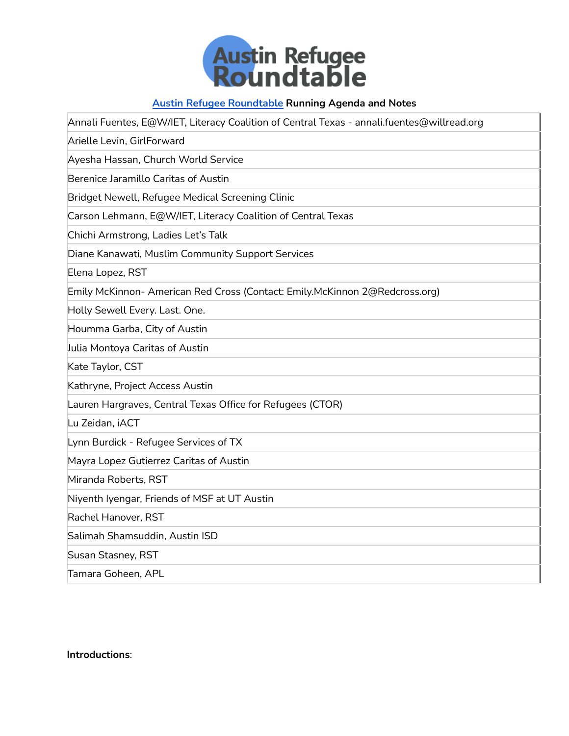

| Annali Fuentes, E@W/IET, Literacy Coalition of Central Texas - annali.fuentes@willread.org |  |  |  |
|--------------------------------------------------------------------------------------------|--|--|--|
| Arielle Levin, GirlForward                                                                 |  |  |  |
| Ayesha Hassan, Church World Service                                                        |  |  |  |
| Berenice Jaramillo Caritas of Austin                                                       |  |  |  |
| Bridget Newell, Refugee Medical Screening Clinic                                           |  |  |  |
| Carson Lehmann, E@W/IET, Literacy Coalition of Central Texas                               |  |  |  |
| Chichi Armstrong, Ladies Let's Talk                                                        |  |  |  |
| Diane Kanawati, Muslim Community Support Services                                          |  |  |  |
| Elena Lopez, RST                                                                           |  |  |  |
| Emily McKinnon- American Red Cross (Contact: Emily.McKinnon 2@Redcross.org)                |  |  |  |
| Holly Sewell Every. Last. One.                                                             |  |  |  |
| Houmma Garba, City of Austin                                                               |  |  |  |
| Julia Montoya Caritas of Austin                                                            |  |  |  |
| Kate Taylor, CST                                                                           |  |  |  |
| Kathryne, Project Access Austin                                                            |  |  |  |
| Lauren Hargraves, Central Texas Office for Refugees (CTOR)                                 |  |  |  |
| Lu Zeidan, iACT                                                                            |  |  |  |
| Lynn Burdick - Refugee Services of TX                                                      |  |  |  |
| Mayra Lopez Gutierrez Caritas of Austin                                                    |  |  |  |
| Miranda Roberts, RST                                                                       |  |  |  |
| Niyenth Iyengar, Friends of MSF at UT Austin                                               |  |  |  |
| Rachel Hanover, RST                                                                        |  |  |  |
| Salimah Shamsuddin, Austin ISD                                                             |  |  |  |
| Susan Stasney, RST                                                                         |  |  |  |
| Tamara Goheen, APL                                                                         |  |  |  |

**Introductions**: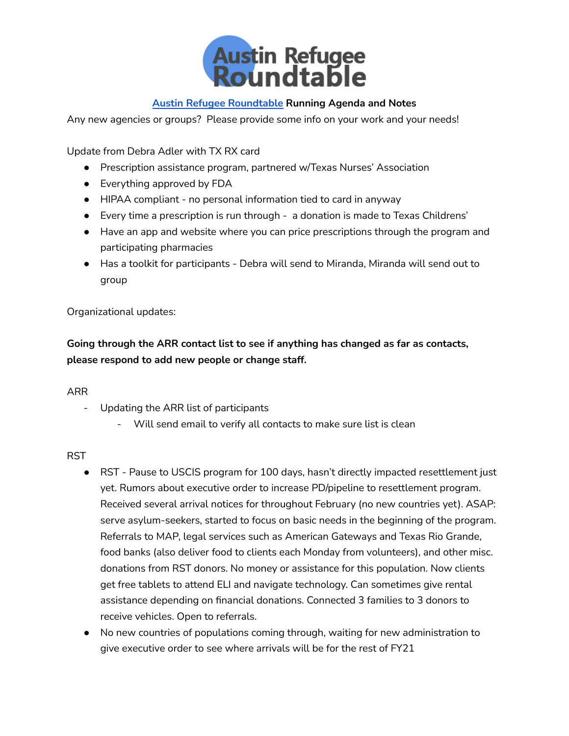

Any new agencies or groups? Please provide some info on your work and your needs!

Update from Debra Adler with TX RX card

- Prescription assistance program, partnered w/Texas Nurses' Association
- Everything approved by FDA
- HIPAA compliant no personal information tied to card in anyway
- Every time a prescription is run through a donation is made to Texas Childrens'
- Have an app and website where you can price prescriptions through the program and participating pharmacies
- Has a toolkit for participants Debra will send to Miranda, Miranda will send out to group

### Organizational updates:

**Going through the ARR contact list to see if anything has changed as far as contacts, please respond to add new people or change staff.**

### ARR

- Updating the ARR list of participants
	- Will send email to verify all contacts to make sure list is clean

### RST

- RST Pause to USCIS program for 100 days, hasn't directly impacted resettlement just yet. Rumors about executive order to increase PD/pipeline to resettlement program. Received several arrival notices for throughout February (no new countries yet). ASAP: serve asylum-seekers, started to focus on basic needs in the beginning of the program. Referrals to MAP, legal services such as American Gateways and Texas Rio Grande, food banks (also deliver food to clients each Monday from volunteers), and other misc. donations from RST donors. No money or assistance for this population. Now clients get free tablets to attend ELI and navigate technology. Can sometimes give rental assistance depending on financial donations. Connected 3 families to 3 donors to receive vehicles. Open to referrals.
- No new countries of populations coming through, waiting for new administration to give executive order to see where arrivals will be for the rest of FY21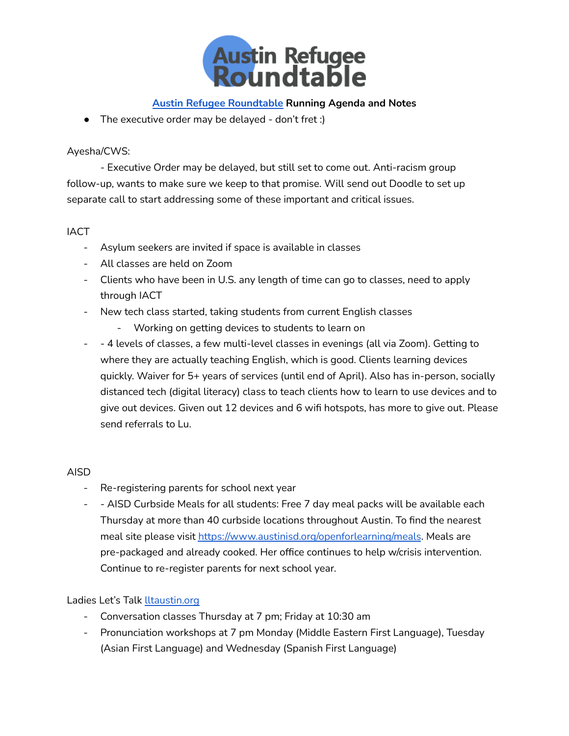

● The executive order may be delayed - don't fret :)

### Ayesha/CWS:

- Executive Order may be delayed, but still set to come out. Anti-racism group follow-up, wants to make sure we keep to that promise. Will send out Doodle to set up separate call to start addressing some of these important and critical issues.

### **IACT**

- Asylum seekers are invited if space is available in classes
- All classes are held on Zoom
- Clients who have been in U.S. any length of time can go to classes, need to apply through IACT
- New tech class started, taking students from current English classes
	- Working on getting devices to students to learn on
- - 4 levels of classes, a few multi-level classes in evenings (all via Zoom). Getting to where they are actually teaching English, which is good. Clients learning devices quickly. Waiver for 5+ years of services (until end of April). Also has in-person, socially distanced tech (digital literacy) class to teach clients how to learn to use devices and to give out devices. Given out 12 devices and 6 wifi hotspots, has more to give out. Please send referrals to Lu.

### AISD

- Re-registering parents for school next year
- - AISD Curbside Meals for all students: Free 7 day meal packs will be available each Thursday at more than 40 curbside locations throughout Austin. To find the nearest meal site please visit <https://www.austinisd.org/openforlearning/meals>. Meals are pre-packaged and already cooked. Her office continues to help w/crisis intervention. Continue to re-register parents for next school year.

### Ladies Let's Talk [lltaustin.org](https://www.lltaustin.org/)

- Conversation classes Thursday at 7 pm; Friday at 10:30 am
- Pronunciation workshops at 7 pm Monday (Middle Eastern First Language), Tuesday (Asian First Language) and Wednesday (Spanish First Language)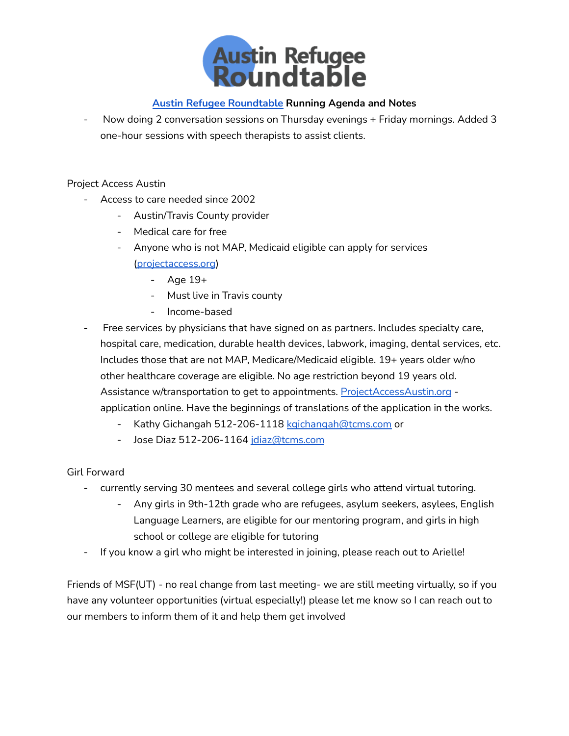

- Now doing 2 conversation sessions on Thursday evenings + Friday mornings. Added 3 one-hour sessions with speech therapists to assist clients.

### Project Access Austin

- Access to care needed since 2002
	- Austin/Travis County provider
	- Medical care for free
	- Anyone who is not MAP, Medicaid eligible can apply for services [\(projectaccess.org](https://projectaccess.org/))
		- Age 19+
		- Must live in Travis county
		- Income-based
- Free services by physicians that have signed on as partners. Includes specialty care, hospital care, medication, durable health devices, labwork, imaging, dental services, etc. Includes those that are not MAP, Medicare/Medicaid eligible. 19+ years older w/no other healthcare coverage are eligible. No age restriction beyond 19 years old. Assistance w/transportation to get to appointments. [ProjectAccessAustin.org](http://projectaccessaustin.org) application online. Have the beginnings of translations of the application in the works.
	- Kathy Gichangah 512-206-1118 [kgichangah@tcms.com](mailto:kgichangah@tcms.com) or
	- Jose Diaz 512-206-1164 [jdiaz@tcms.com](mailto:jdiaz@tcms.com)

### Girl Forward

- currently serving 30 mentees and several college girls who attend virtual tutoring.
	- Any girls in 9th-12th grade who are refugees, asylum seekers, asylees, English Language Learners, are eligible for our mentoring program, and girls in high school or college are eligible for tutoring
- If you know a girl who might be interested in joining, please reach out to Arielle!

Friends of MSF(UT) - no real change from last meeting- we are still meeting virtually, so if you have any volunteer opportunities (virtual especially!) please let me know so I can reach out to our members to inform them of it and help them get involved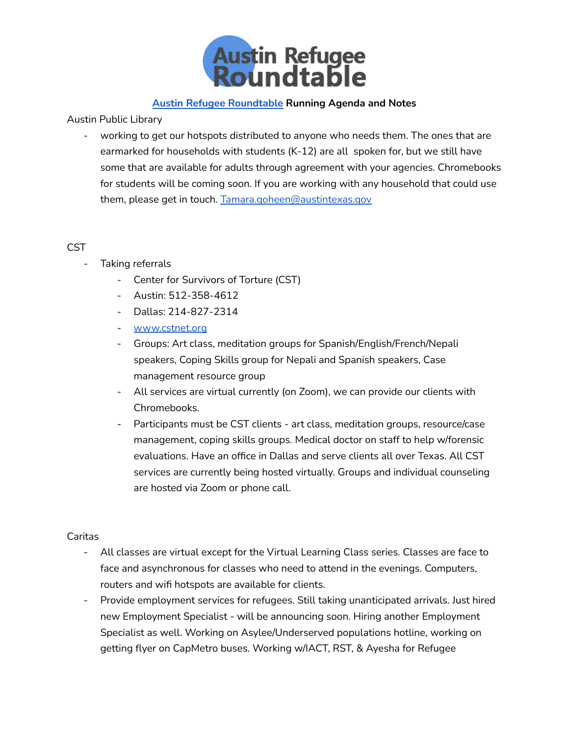

Austin Public Library

- working to get our hotspots distributed to anyone who needs them. The ones that are earmarked for households with students (K-12) are all spoken for, but we still have some that are available for adults through agreement with your agencies. Chromebooks for students will be coming soon. If you are working with any household that could use them, please get in touch. [Tamara.goheen@austintexas.gov](mailto:Tamara.goheen@austintexas.gov)

### **CST**

- Taking referrals
	- Center for Survivors of Torture (CST)
	- Austin: 512-358-4612
	- Dallas: 214-827-2314
	- [www.cstnet.org](http://www.cstnet.org)
	- Groups: Art class, meditation groups for Spanish/English/French/Nepali speakers, Coping Skills group for Nepali and Spanish speakers, Case management resource group
	- All services are virtual currently (on Zoom), we can provide our clients with Chromebooks.
	- Participants must be CST clients art class, meditation groups, resource/case management, coping skills groups. Medical doctor on staff to help w/forensic evaluations. Have an office in Dallas and serve clients all over Texas. All CST services are currently being hosted virtually. Groups and individual counseling are hosted via Zoom or phone call.

### Caritas

- All classes are virtual except for the Virtual Learning Class series. Classes are face to face and asynchronous for classes who need to attend in the evenings. Computers, routers and wifi hotspots are available for clients.
- Provide employment services for refugees. Still taking unanticipated arrivals. Just hired new Employment Specialist - will be announcing soon. Hiring another Employment Specialist as well. Working on Asylee/Underserved populations hotline, working on getting flyer on CapMetro buses. Working w/IACT, RST, & Ayesha for Refugee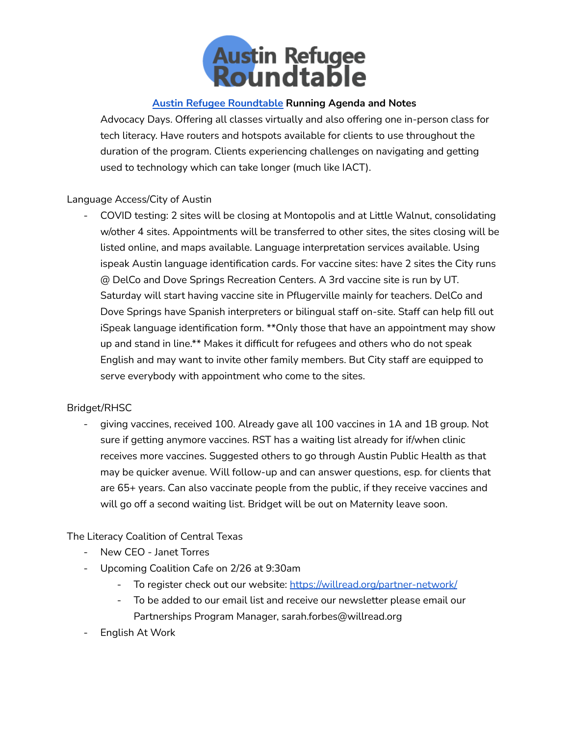

Advocacy Days. Offering all classes virtually and also offering one in-person class for tech literacy. Have routers and hotspots available for clients to use throughout the duration of the program. Clients experiencing challenges on navigating and getting used to technology which can take longer (much like IACT).

### Language Access/City of Austin

- COVID testing: 2 sites will be closing at Montopolis and at Little Walnut, consolidating w/other 4 sites. Appointments will be transferred to other sites, the sites closing will be listed online, and maps available. Language interpretation services available. Using ispeak Austin language identification cards. For vaccine sites: have 2 sites the City runs @ DelCo and Dove Springs Recreation Centers. A 3rd vaccine site is run by UT. Saturday will start having vaccine site in Pflugerville mainly for teachers. DelCo and Dove Springs have Spanish interpreters or bilingual staff on-site. Staff can help fill out iSpeak language identification form. \*\*Only those that have an appointment may show up and stand in line.\*\* Makes it difficult for refugees and others who do not speak English and may want to invite other family members. But City staff are equipped to serve everybody with appointment who come to the sites.

### Bridget/RHSC

- giving vaccines, received 100. Already gave all 100 vaccines in 1A and 1B group. Not sure if getting anymore vaccines. RST has a waiting list already for if/when clinic receives more vaccines. Suggested others to go through Austin Public Health as that may be quicker avenue. Will follow-up and can answer questions, esp. for clients that are 65+ years. Can also vaccinate people from the public, if they receive vaccines and will go off a second waiting list. Bridget will be out on Maternity leave soon.

## The Literacy Coalition of Central Texas

- New CEO Janet Torres
- Upcoming Coalition Cafe on 2/26 at 9:30am
	- To register check out our website: <https://willread.org/partner-network/>
	- To be added to our email list and receive our newsletter please email our Partnerships Program Manager, sarah.forbes@willread.org
- English At Work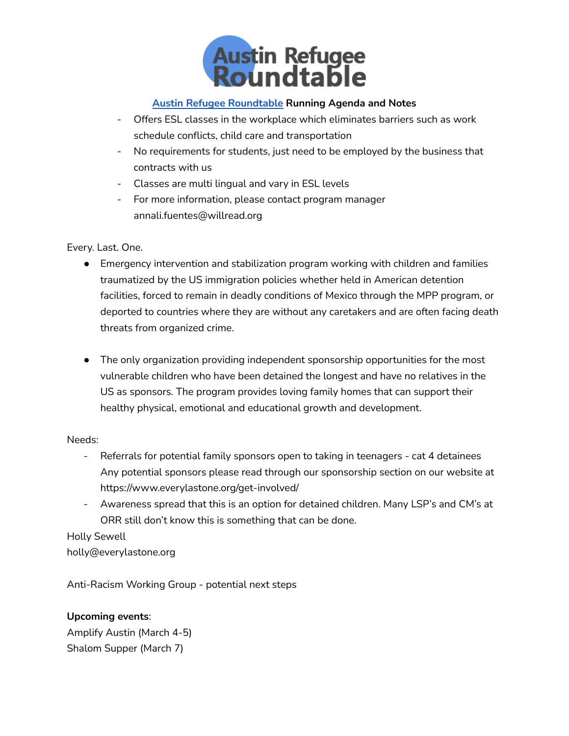

- Offers ESL classes in the workplace which eliminates barriers such as work schedule conflicts, child care and transportation
- No requirements for students, just need to be employed by the business that contracts with us
- Classes are multi lingual and vary in ESL levels
- For more information, please contact program manager annali.fuentes@willread.org

### Every. Last. One.

- Emergency intervention and stabilization program working with children and families traumatized by the US immigration policies whether held in American detention facilities, forced to remain in deadly conditions of Mexico through the MPP program, or deported to countries where they are without any caretakers and are often facing death threats from organized crime.
- The only organization providing independent sponsorship opportunities for the most vulnerable children who have been detained the longest and have no relatives in the US as sponsors. The program provides loving family homes that can support their healthy physical, emotional and educational growth and development.

### Needs:

- Referrals for potential family sponsors open to taking in teenagers cat 4 detainees Any potential sponsors please read through our sponsorship section on our website at https://www.everylastone.org/get-involved/
- Awareness spread that this is an option for detained children. Many LSP's and CM's at ORR still don't know this is something that can be done.

## Holly Sewell

holly@everylastone.org

Anti-Racism Working Group - potential next steps

## **Upcoming events**:

Amplify Austin (March 4-5) Shalom Supper (March 7)